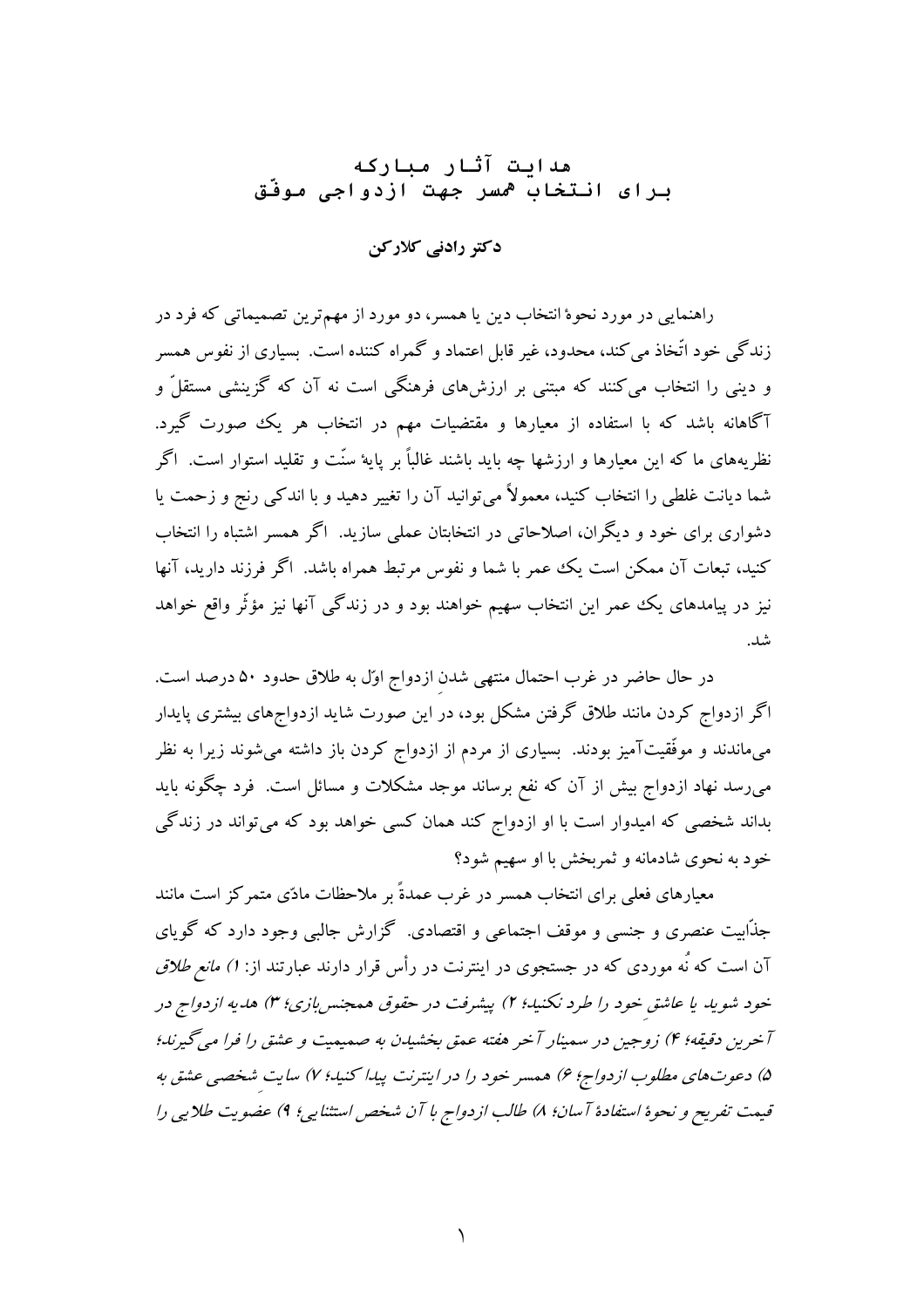# هدابت آثار مباركه برای انتخاب <sup>ه</sup>سر جهت ازدواجی موفّق

دکتر رادنی کلارکن

راهنمایی در مورد نحوهٔ انتخاب دین یا همسر، دو مورد از مهمترین تصمیماتی که فرد در زندگی خود اتَّخاذ می کند، محدود، غیر قابل اعتماد و گمراه کننده است. بسیاری از نفوس همسر و دینی را انتخاب میکنند که مبتنی بر ارزشهای فرهنگی است نه آن که گزینشی مستقلّ و آگاهانه باشد که با استفاده از معیارها و مقتضیات مهم در انتخاب هر یک صورت گیرد. نظریههای ما که این معیارها و ارزشها چه باید باشند غالباً بر پایهٔ سنّت و تقلید استوار است. اگر شما دیانت غلطی را انتخاب کنید، معمولاً میتوانید آن را تغییر دهید و با اندکی رنج و زحمت یا دشواری برای خود و دیگران، اصلاحاتی در انتخابتان عملی سازید. اگر همسر اشتباه را انتخاب کنید، تبعات آن ممکن است یک عمر با شما و نفوس مرتبط همراه باشد. اگر فرزند دارید، آنها نیز در پیامدهای یک عمر این انتخاب سهیم خواهند بود و در زندگی آنها نیز مؤثّر واقع خواهد شد.

در حال حاضر در غرب احتمال منتهی شدن ازدواج اوّل به طلاق حدود ۵۰ درصد است. اگر ازدواج کردن مانند طلاق گرفتن مشکل بود، در این صورت شاید ازدواجهای بیشتری پایدار میماندند و موفّقیتآمیز بودند. بسیاری از مردم از ازدواج کردن باز داشته میشوند زیرا به نظر می٫رسد نهاد ازدواج بیش از آن که نفع برساند موجد مشکلات و مسائل است. فرد چگونه باید بداند شخصی که امیدوار است با او ازدواج کند همان کسی خواهد بود که می تواند در زندگی خود به نحوي شادمانه و ثمربخش با او سهيم شود؟

معیارهای فعلی برای انتخاب همسر در غرب عمدةً بر ملاحظات مادّی متمرکز است مانند جذَّابیت عنصری و جنسی و موقف اجتماعی و اقتصادی. گزارش جالبی وجود دارد که گویای آن است که نُه موردی که در جستجوی در اینترنت در رأس قرار دارند عبارتند از: *۱) مانع طلاق* خود شوید یا عاشق خود را طرد نکنید؛ ۲) پیشرفت در حقوق همجنس بازی؛ ۳) هدیه ازدواج در آخرین دقیقه؛ ۴) زوجین در سمینار آخر هفته عمق بخشیدن به صمیمیت و عشق را فرا میگیرند؛ ۵) دعوتهای مطلوب ازدواج؛ ۶) همسر خود را در اینترنت پیدا کنید؛ ۷) سایت شخصی عشق به قيمت تفريح و نحوة استفادة آسان؛ ٨) طالب ازدواج با آن شخص استثنايي؛ ٩) عضويت طلابي را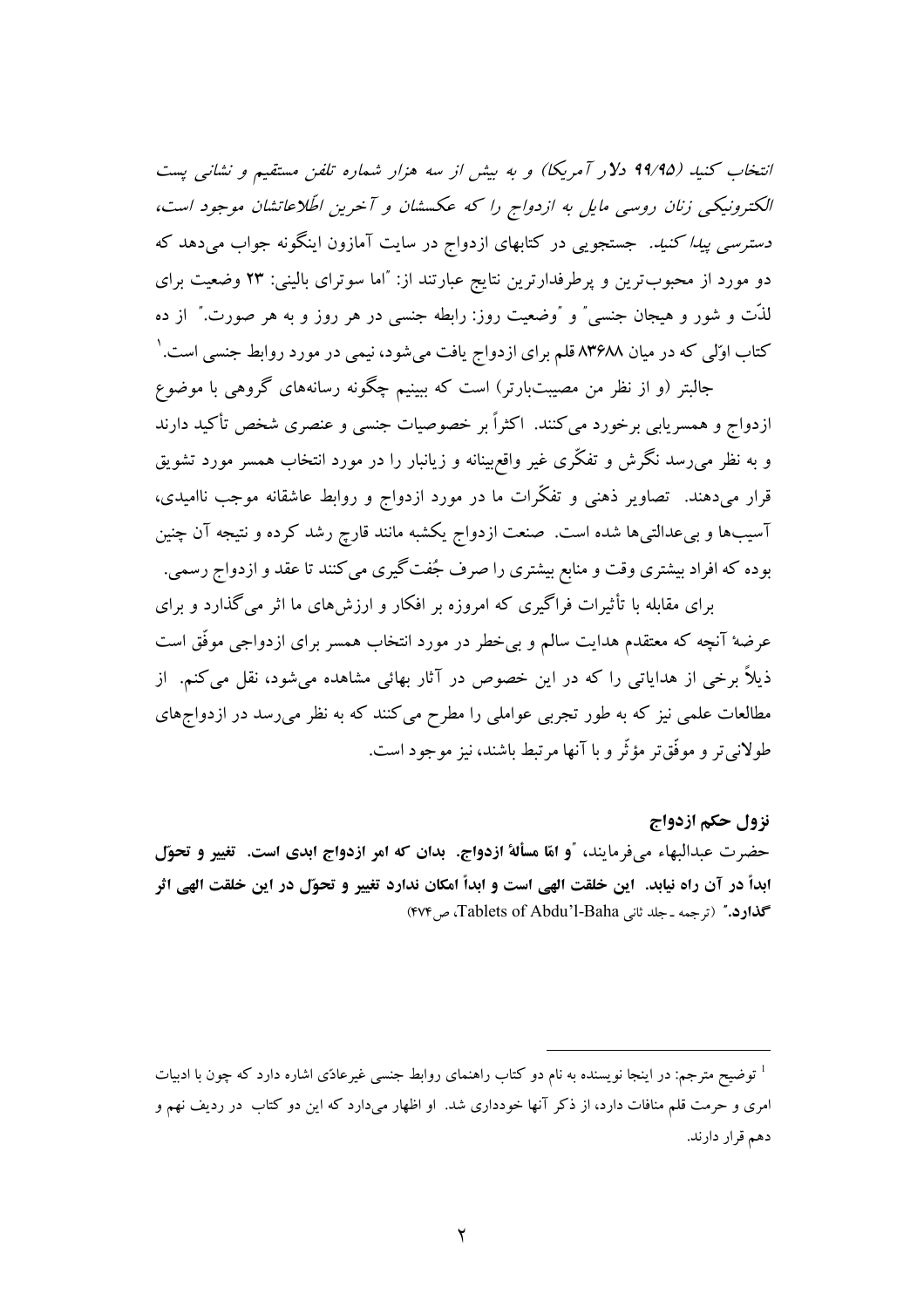انتخاب كنيد (۹۹/۹۵ دلار آمريكا) و به بيش از سه هزار شماره تلفن مستقيم و نشانبي پست الکترونیکی زنان روسی مایل به ازدواج را که عکسشان و آخرین اطّلاعاتشان موجود است، *دسترسی پیدا کنید.* جستجویی در کتابهای ازدواج در سایت آمازون اینگونه جواب میدهد که دو مورد از محبوبترین و پرطرفدارترین نتایج عبارتند از: "اما سوترای بالینی: ۲۳ وضعیت برای لذَّت و شور و هیجان جنسی ٌ و گوضعیت روز: رابطه جنسی در هر روز و به هر صورت. ٌ از ده کتاب اوّلی که در میان ۸۳۶۸۸ قلم برای ازدواج یافت میشود، نیمی در مورد روابط جنسی است. ٰ

جالبتر (و از نظر من مصیبتبارتر) است که ببینیم چگونه رسانههای گروهی با موضوع ازدواج و همسریابی برخورد میکنند. اکثراً بر خصوصیات جنسی و عنصری شخص تأکید دارند و به نظر می٫سد نگرش و تفکّری غیر واقع٬بینانه و زیانبار را در مورد انتخاب همسر مورد تشویق قرار میدهند. تصاویر ذهنی و تفکّرات ما در مورد ازدواج و روابط عاشقانه موجب ناامیدی، آسیبها و بیعدالتبیها شده است. صنعت ازدواج یکشبه مانند قارچ رشد کرده و نتیجه آن چنین بوده که افراد بیشتری وقت و منابع بیشتری را صرف جُفت گیری می کنند تا عقد و ازدواج رسمی.

برای مقابله با تأثیرات فراگیری که امروزه بر افکار و ارزشهای ما اثر می گذارد و برای عرضهٔ آنچه که معتقدم هدایت سالم و بی خطر در مورد انتخاب همسر برای ازدواجی موفّق است ذیلاً برخی از هدایاتی را که در این خصوص در آثار بهائی مشاهده می شود، نقل می کنم. از مطالعات علمی نیز که به طور تجربی عواملی را مطرح می کنند که به نظر می رسد در ازدواجهای طولاني تر و موفَّق تر مؤثَّر و با آنها مرتبط باشند، نيز موجود است.

#### نزول حكم ازدواج

حضرت عبدالبهاء مي فرمايند، "و امّا مسألة ازدواج. بدان که امر ازدواج ابدي است. تغيير و تحوّل ابداً در آن راه نیابد. این خلقت الهی است و ابداً امکان ندارد تغییر و تحوّل در این خلقت الهی اثر گذارد." (ترجمه ـ جلد ثانی Tablets of Abdu'l-Baha)، ص ۴۷۴)

<sup>1</sup> توضیح مترجم: در اینجا نویسنده به نام دو کتاب راهنمای روابط جنسی غیرعادّی اشاره دارد که چون با ادبیات امری و حرمت قلم منافات دارد، از ذکر آنها خودداری شد. او اظهار میدارد که این دو کتاب در ردیف نهم و دهم قرار دارند.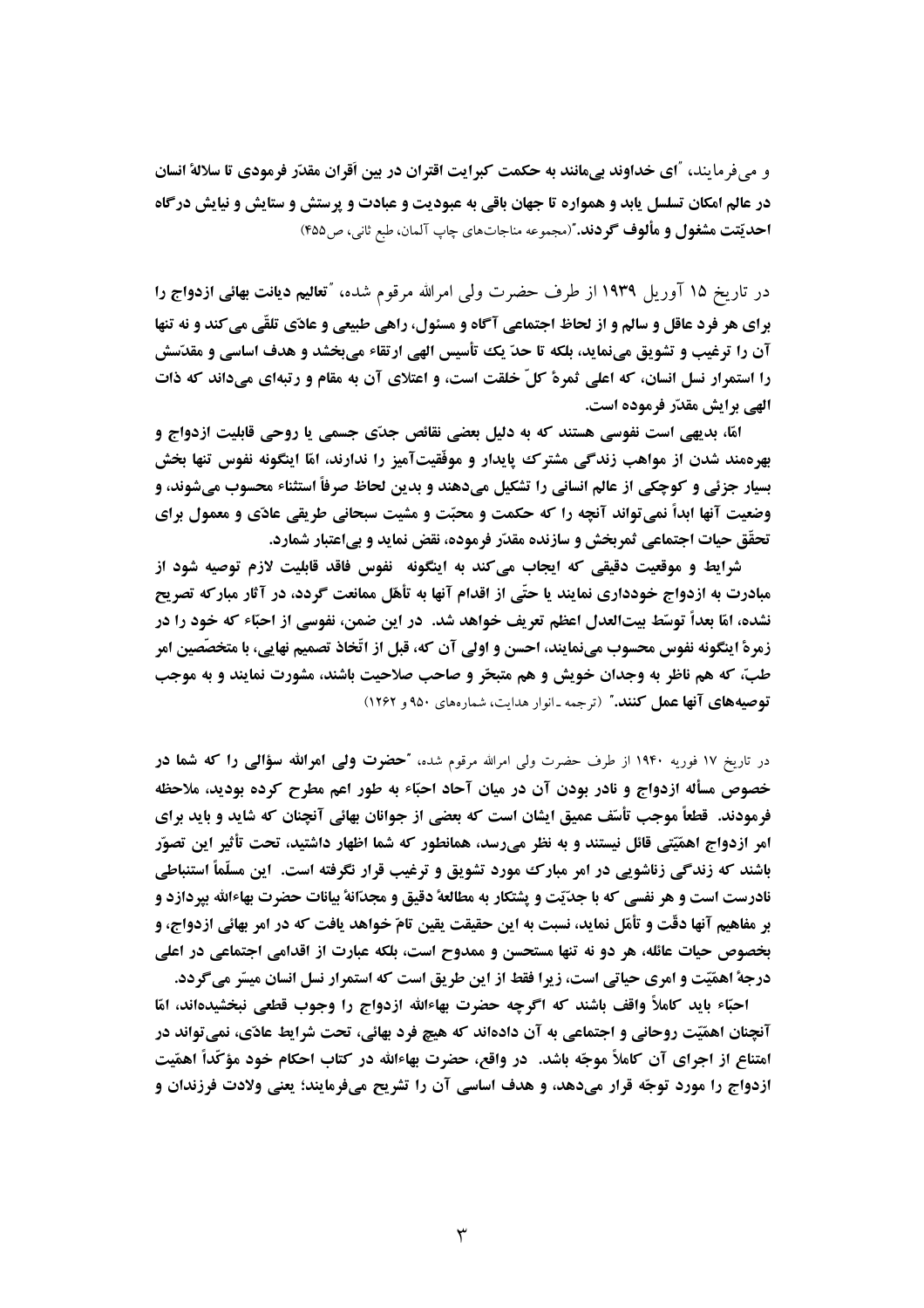و می فرمایند، آای خداوند بیمانند به حکمت کبرایت اقتران در بین اَقران مقدّر فرمودی تا سلالهٔ انسان در عالم امکان تسلسل یابد و همواره تا جهان باقی به عبودیت و عبادت و پرستش و ستایش و نیایش درگاه احديّتت مشغول و مألوف گو دند."(مجموعه مناجاتهاي چاپ آلمان، طبع ثاني، ص4۵۹)

در تاریخ ۱۵ آوریل ۱۹۳۹ از طرف حضرت ولی امرالله مرقوم شده، "تعالیم دیانت بهائی ازدواج را برای هر فرد عاقل و سالم و از لحاظ اجتماعی آگاه و مسئول، راهی طبیعی و عادّی تلقّی می کند و نه تنها آن را ترغیب و تشویق مینماید، بلکه تا حدّ یک تأسیس الهی ارتقاء میبخشد و هدف اساسی و مقدّسش را استمرار نسل انسان، که اعلی ثمرهٔ کلّ خلقت است، و اعتلای آن به مقام و رتبهای میداند که ذات الهي برايش مقدّر فرموده است.

امّا، بدیهی است نفوسی هستند که به دلیل بعضی نقائص جدّی جسمی یا روحی قابلیت ازدواج و بهرهمند شدن از مواهب زندگی مشترک پایدار و موفّقیتآمیز را ندارند، امّا اینگونه نفوس تنها بخش بسیار جزئی و کوچکی از عالم انسانی را تشکیل میدهند و بدین لحاظ صرفاً استثناء محسوب میشوند، و وضعیت آنها ابدأ نمی تواند آنچه را که حکمت و محبّت و مشیت سبحانی طریقی عادّی و معمول برای تحقَّق حيات اجتماعي ثمربخش و سازنده مقدَّر فرموده، نقض نمايد و بي|عتبار شمارد.

شرایط و موقعیت دقیقی که ایجاب میکند به اینگونه آنفوس فاقد قابلیت لازم توصیه شود از مبادرت به ازدواج خودداری نمایند یا حتّی از اقدام آنها به تأهّل ممانعت گردد، در آثار مبارکه تصریح نشده، امّا بعداً توسّط بیتالعدل اعظم تعریف خواهد شد. در این ضمن، نفوسی از احبّاء که خود را در زمرة اينگونه نفوس محسوب مي نمايند، احسن و اولى آن كه، قبل از اتّخاذ تصميم نهايي، با متخصِّصين امر طبّ، که هم ناظر به وجدان خویش و هم متبحّر و صاحب صلاحیت باشند، مشورت نمایند و به موجب توصیههای آنها عمل کنند." (ترجمه ـ انوار هدایت، شمارههای ۹۵۰ و ۱۲۶۲)

در تاریخ ۱۷ فوریه ۱۹۴۰ از طرف حضرت ولی امرالله مرقوم شده، **"حضوت ولیی اموالله سؤالیی را که شما در** خصوص مسأله ازدواج و نادر بودن آن در میان آحاد احبّاء به طور اعم مطرح کرده بودید، ملاحظه فرمودند. قطعاً موجب تأسّف عمیق ایشان است که بعضی از جوانان بهائی آنچنان که شاید و باید برای امر ازدواج اهمَّيَّتي قائل نيستند و به نظر مي رسد، همانطور كه شما اظهار داشتيد، تحت تأثير اين تصوَّر باشند که زندگی زناشویی در امر مبارک ممورد تشویق و ترغیب قرار نگرفته است. آین مسلَّماً استنباطی نادرست است و هر نفسی که با جدیّت و پشتکار به مطالعهٔ دقیق و مجدّانهٔ بیانات حضرت بهاءالله بیردازد و بر مفاهیم آنها دقّت و تأمّل نماید، نسبت به این حقیقت یقین تامّ خواهد یافت که در امر بهائی ازدواج، و بخصوص حیات عائله، هر دو نه تنها مستحسن و ممدوح است، بلکه عبارت از اقدامی اجتماعی در اعلی درجة اهمّيّت و امرى حياتي است، زيرا فقط از اين طريق است كه استمرار نسل انسان ميسّر مي گردد.

احبَّاء بايد كاملاً واقف باشند كه اگرچه حضرت بهاءالله ازدواج را وجوب قطعي نبخشيدهاند، امَّا آنچنان اهمّیّت روحانی و اجتماعی به آن دادهاند که هیچ فرد بهائی، تحت شرایط عادّی، نمی تواند در امتناع از اجرای آن کاملاً موجّه باشد. ۖ در واقع، حضرت بهاءالله در کتاب احکام خود مؤکَّداً اهمّیت ازدواج را مورد توجّه قرار میدهد، و هدف اساسی آن را تشریح میفرمایند؛ یعنی ولادت فرزندان و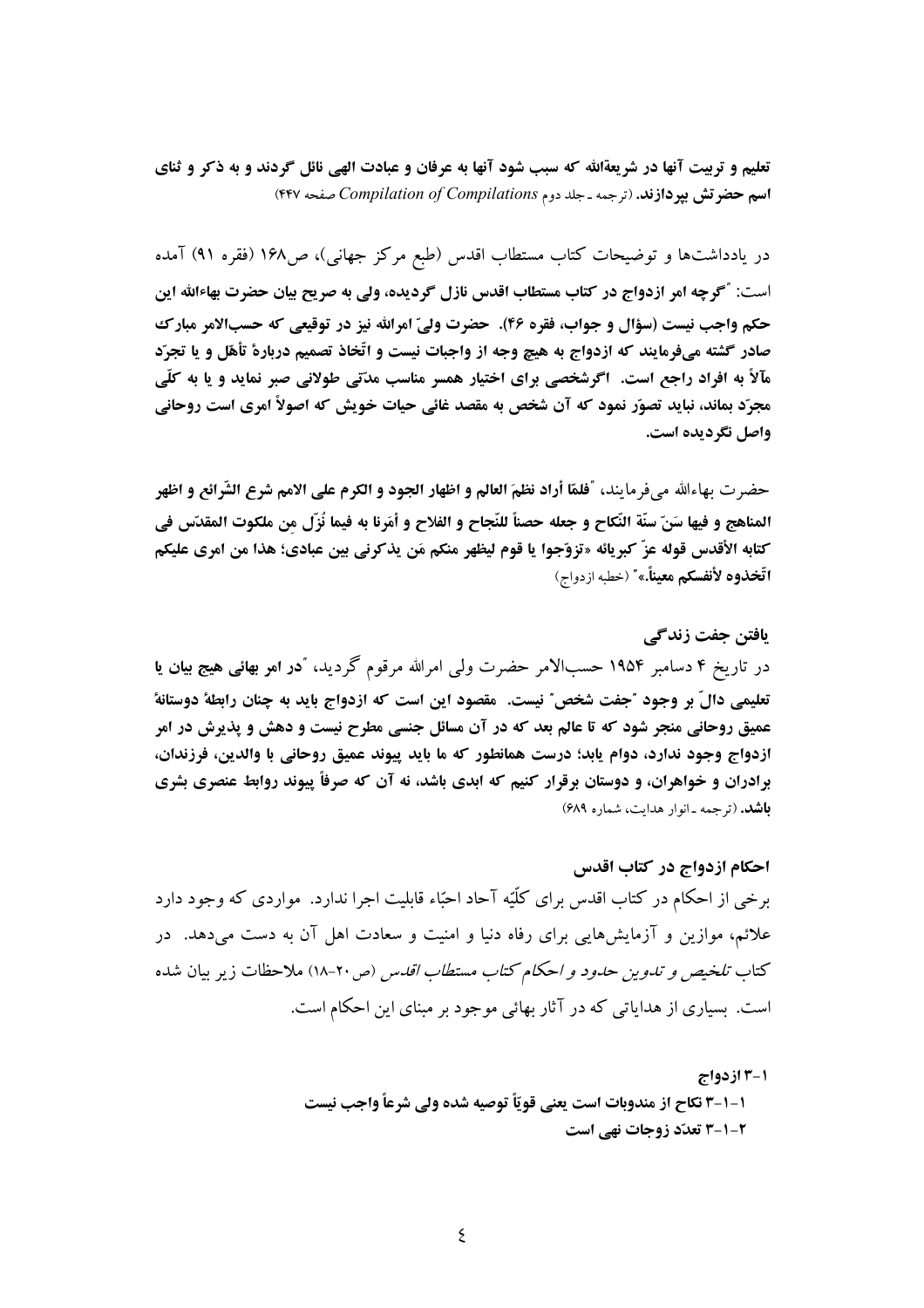تعلیم و تربیت آنها در شریعةالله که سبب شود آنها به عرفان و عبادت الهی نائل گردند و به ذکر و ثنای اسم حضرتش بیردازند. (ترجمه ـ جلد دوم Compilation of Compilations صفحه ۴۴۷)

در یادداشتها و توضیحات کتاب مستطاب اقدس (طبع مرکز جهانبی)، ص۱۶۸ (فقره ۹۱) آمده است: "گرچه امر ازدواج در کتاب مستطاب اقدس نازل گردیده، ولی به صریح بیان حضرت بهاءالله این حکم واجب نیست (سؤال و جواب، فقره ۴۶). حضرت ولیّ امرالله نیز در توقیعی که حسبالامر مبارک صادر گشته میفرمایند که ازدواج به هیچ وجه از واجبات نیست و اتّخاذ تصمیم دربارهٔ تأهّل و یا تجرّد مآلاً به افراد راجع است. اگرشخصی برای اختیار همسر مناسب مدّتی طولانی صبر نماید و یا به کلّی مجرّد بماند، نباید تصوّر نمود که آن شخص به مقصد غائی حیات خویش که اصولاً امری است روحانی واصل نگردیده است.

حضرت بهاءالله مي فرمايند، "فلمّا أراد نظمَ العالم و اظهار الجود و الكرم على الامم شرع الشّرائع و اظهر المناهج و فيها سَنّ سنّة النّكاح و جعله حصناً للنّجاح و الفلاح و أمَرنا به فيما نُزّل من ملكوت المقدّس في كتابه الأقدس قوله عزّ كبريائه «تزوّجوا يا قوم ليظهر منكم مَن يذكرني بين عبادي؛ هذا من امرى عليكم **اتّخذوه لأنفسكم معيناً.»**" (خطبه ازدواج)

يافتن جفت زندگي در تاریخ ۴ دسامبر ۱۹۵۴ حسبالامر حضرت ولی امرالله مرقوم گردید، "در امر بهائی هیج بیان یا تعليمي دالٌ بر وجود "جفت شخص" نيست. مقصود اين است كه ازدواج بايد به چنان رابطهٔ دوستانهٔ عمیق روحانی منجر شود که تا عالم بعد که در آن مسائل جنسی مطرح نیست و دهش و پذیرش در امر ازدواج وجود ندارد، دوام يابد؛ درست همانطور كه ما بايد پيوند عميق روحاني با والدين، فرزندان، برادران و خواهران، و دوستان برقرار کنیم که ابدی باشد، نه آن که صرفاً پیوند روابط عنصری بشری باشد. (ترجمه ـ انوار هدايت، شماره ۶۸۹)

احكام ازدواج در كتاب اقدس برخی از احکام در کتاب اقدس برای کلّیّه آحاد احبّاء قابلیت اجرا ندارد. مواردی که وجود دارد علائم، موازین و آزمایشهایی برای رفاه دنیا و امنیت و سعادت اهل آن به دست می دهد. ً در کتاب *تلخیص و تدوین حدود و احکام کتاب مستطاب اقدس* (ص۲۰-۱۸) ملاحظات زیر بیان شده است. بسیاری از هدایاتی که در آثار بهائی موجود بر مبنای این احکام است.

> 1-3 ازدواج 1-1-3 نكاح از مندوبات است يعني قويّاً توصيه شده ولي شرعاً واجب نيست ۲-۱-۲ تعدّد زوجات نهے ،است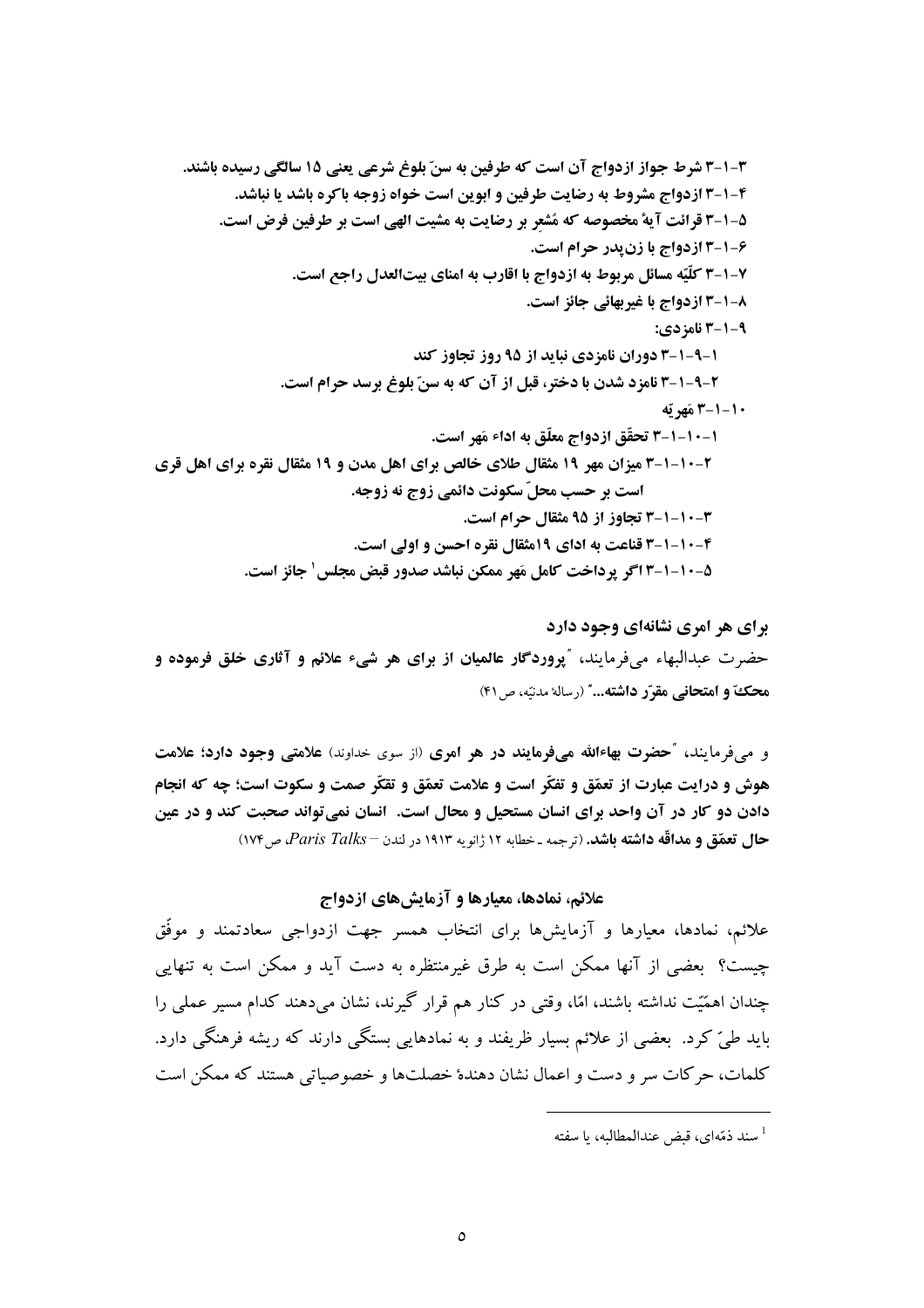برای هر امری نشانهای وجود دارد حضرت عبدالبهاء میفرمایند، "پروردگار عالمیان از برای هر شیء علائم و آثاری خلق فرموده و محكَّ و امتحاني مقرِّر داشته..." (رسالهٔ مدنيّه، ص ۴۱)

و می فرمایند، "حضرت بهاءالله میفرمایند در هر امری (از سوی خداوند) علامتی وجود دارد؛ علامت هوش و درایت عبارت از تعمّق و تفکّر است و علامت تعمّق و تقکّر صمت و سکوت است؛ چه که انجام دادن دو کار در آن واحد برای انسان مستحیل و محال است. انسان نمی تواند صحبت کند و در عین حال تعمّق و مداقّه داشته باشد. (ترجمه ـ خطابه ۱۲ ژانویه ۱۹۱۳ در لندن – Paris Talks، ص۱۷۴)

# علائم، نمادها، معیارها و آزمایشهای ازدواج

علائم، نمادها، معیارها و آزمایشها برای انتخاب همسر جهت ازدواجی سعادتمند و موفّق چیست؟ بعضی از آنها ممکن است به طرق غیرمنتظره به دست آید و ممکن است به تنهایی چندان اهمّیّت نداشته باشند، امّا، وقتی در کنار هم قرار گیرند، نشان میدهند کدام مسیر عملی را باید طیّ کرد. بعضی از علائم بسیار ظریفند و به نمادهایی بستگی دارند که ریشه فرهنگی دارد. كلمات، حركات سر و دست و اعمال نشان دهندهٔ خصلتها و خصوصیاتی هستند كه ممكن است

سند ذمّهای، قبض عندالمطالبه، با سفته  $^{\rm l}$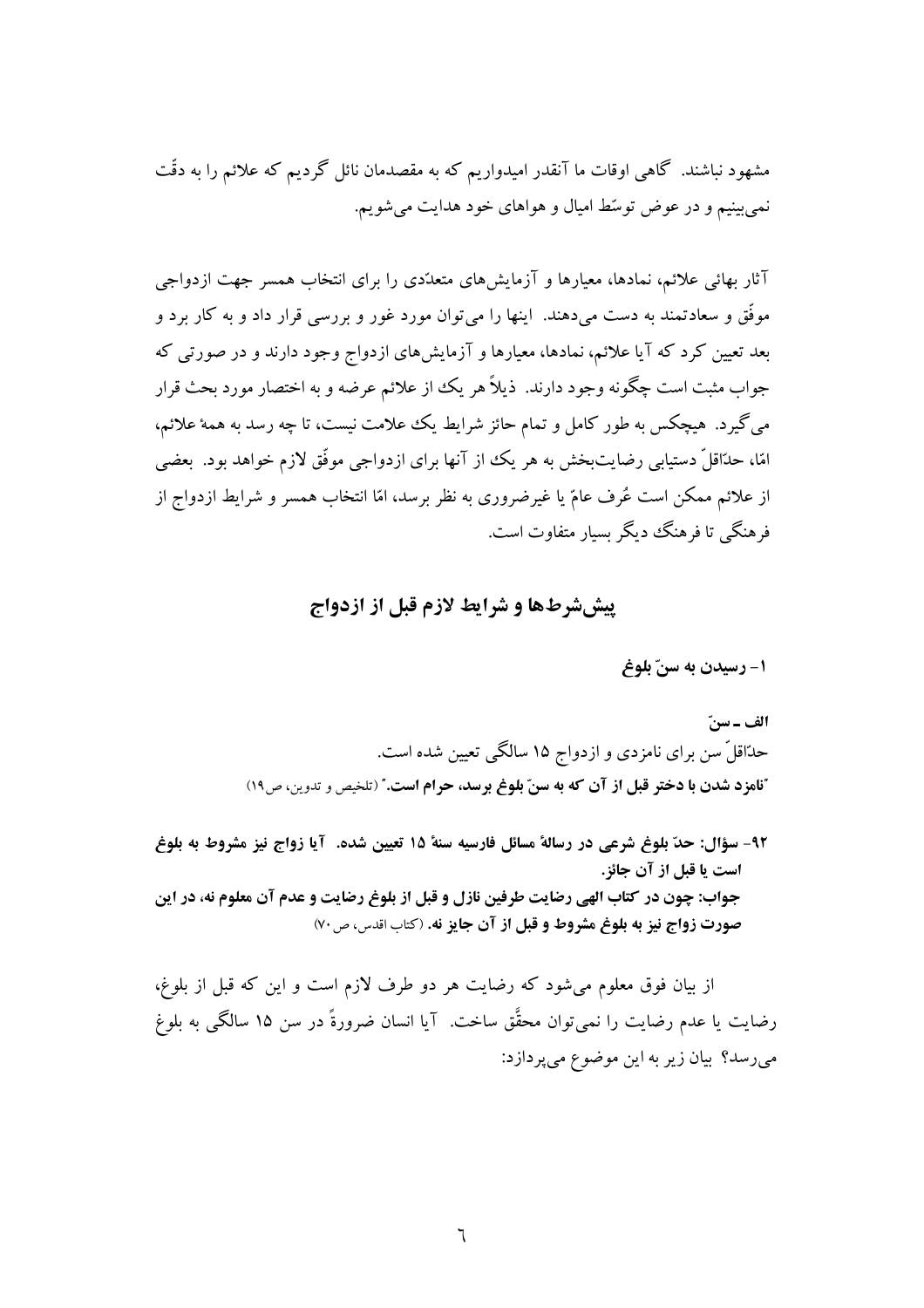مشهود نباشند. گاهی اوقات ما آنقدر امیدواریم که به مقصدمان نائل گردیم که علائم را به دقّت نمی بینیم و در عوض توسّط امیال و هواهای خود هدایت می شویم.

آثار بهائی علائم، نمادها، معیارها و آزمایش های متعدّدی را برای انتخاب همسر جهت ازدواجی موفَّق و سعادتمند به دست می دهند. اینها را می توان مورد غور و بررسی قرار داد و به کار برد و بعد تعیین کرد که آیا علائم، نمادها، معیارها و آزمایشهای ازدواج وجود دارند و در صورتی که جواب مثبت است چگونه وجود دارند. ذیلاً هر یک از علائم عرضه و به اختصار مورد بحث قرار می گیرد. هیچکس به طور کامل و تمام حائز شرایط یک ععلامت نیست، تا چه رسد به همهٔ علائم، امّا، حدّاقلّ دستیابی رضایتبخش به هر یک از آنها برای ازدواجی موفّق لازم خواهد بود. بعضی از علائم ممکن است عُرف عامّ یا غیرضروری به نظر برسد، امّا انتخاب همسر و شرایط ازدواج از فه هنگے ٖ تا فر هنگ دیگر بسیار متفاوت است.

# **پیش شرطها و شرایط لازم قبل از ازدواج**

## 1- رسيدن به سنّ بلوغ

الف ـ سنّ حدّاقلّ سن برای نامزدی و ازدواج ۱۵ سالگی تعیین شده است. "نامزد شدن با دختر قبل از آن که به سنّ بلوغ برسد، حرام است." (تلخيص و تدوين، ص١٩)

٩٢- سؤال: حدّ بلوغ شرعي در رسالهٔ مسائل فارسيه سنهٔ ١٥ تعيين شده. آيا زواج نيز مشروط به بلوغ است یا قبل از آن جائز. جواب: چون در كتاب الهي رضايت طرفين نازل و قبل از بلوغ رضايت و عدم آن معلوم نه، در اين صورت زواج نيز به بلوغ مشروط و قبل از آن جايز نه. (كتاب اقدس، ص ٧٠)

از بیان فوق معلوم می شود که رضایت هر دو طرف لازم است و این که قبل از بلوغ، رضايت يا عدم رضايت را نميٍتوان محقَّق ساخت. آيا انسان ضرورةً در سن ١۵ سالگي به بلوغ میرسد؟ بیان زیر به این موضوع میپردازد: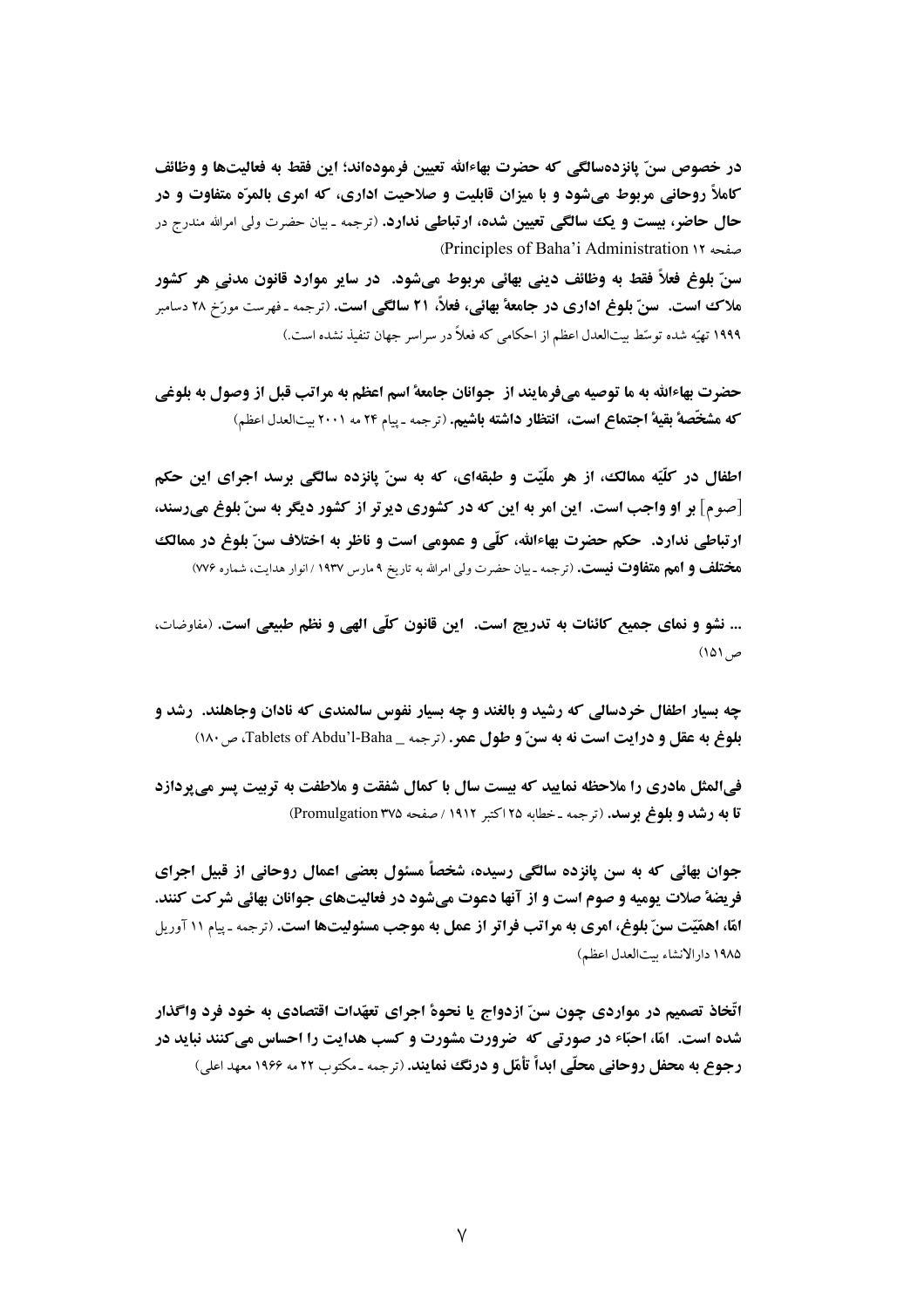در خصوص سنّ يانزدهسالگي كه حضرت بهاءالله تعيين فرمودهاند؛ اين فقط به فعاليتها و وظائف کاملاً روحانی مربوط میشود و با میزان قابلیت و صلاحیت اداری، که امری بالمرّه متفاوت و در حال حاضر، بیست و یک سالگی تعیین شده، ارتباطی ندارد. (ترجمه ـ بیان حضرت ولی امرالله مندرج در (Principles of Baha'i Administration ١٢

سنّ بلوغ فعلاً فقط به وظائف ديني بهائي مربوط ميشود. ۖ در ساير موارد قانون مدني هر كشور **ملاک است. سنّ بلوغ اداری در جامعهٔ بهائی، فعلاً، ۲۱ سالگی است.** (ترجمه ـ فهرست مورّخ ۲۸ دسامبر ۱۹۹۹ تهیّه شده توسّط بیتالعدل اعظم از احکامی که فعلاً در سراسر جهان تنفیذ نشده است.)

حضرت بهاءالله به ما توصیه میفرمایند از جوانان جامعهٔ اسم اعظم به مراتب قبل از وصول به بلوغی كه مشخَّصهٌ بقيهٌ اجتماع است، انتظار داشته باشيم. (ترجمه ـ ييام ٢٤ مه ٢٠٠١ بيتالعدل اعظم)

اطفال در کلّیّه ممالک، از هر ملّیّت و طبقه!ی، که به سنّ پانزده سالگی برسد اجرای این حکم [صوم] بر او واجب است. این امر به این که در کشوری دیرتر از کشور دیگر به سنّ بلوغ میرسند، ارتباطي ندارد. حكم حضرت بهاءالله، كلَّى و عمومي است و ناظر به اختلاف سنّ بلوغ در ممالك ه**ختلف و امم متفاوت نیست.** (ترجمه ـ بیان حضرت ولی امرالله به تاریخ ۹ مارس ۱۹۳۷ / انوار هدایت، شماره ۷۷۶)

... نشو و نمای جمیع کائنات به تدریج است. این قانون کلّی الهی و نظم طبیعی است. (مفاوضات،  $(101)$ 

چه بسیار اطفال خردسالی که رشید و بالغند و چه بسیار نفوس سالمندی که نادان وجاهلند. رشد و بلوغ به عقل و درايت است نه به سنّ و طول عمر. (ترجمه \_ Tablets of Abdu'l-Baha، ص ١٨٠)

فیالمثل مادری را ملاحظه نمایید که بیست سال با کمال شفقت و ملاطفت به تربیت پسر می پردازد قا به رشد و بلوغ برسد. (ترجمه ـ خطابه ۲۵ اكتبر ۱۹۱۲ / صفحه Promulgation ۳۷۵)

جوان بهائی که به سن یانزده سالگی رسیده، شخصاً مسئول بعضی اعمال روحانی از قبیل اجرای فریضهٔ صلات یومیه و صوم است و از آنها دعوت میشود در فعالیتهای جوانان بهائی شر کت کنند. امًّا، اهمَّيّت سنّ بلوغ، امري به مراتب فراتر از عمل به موجب مسئوليتها است. (ترجمه ـ پيام ١١ آوريل ١٩٨۵ دار الانشاء ستالعدل اعظم)

اتّخاذ تصمیم در مواردی چون سنّ ازدواج یا نحوهٔ اجرای تعهّدات اقتصادی به خود فرد واگذار شده است. امّا، احبّاء در صورتی که ضرورت مشورت و کسب هدایت را احساس میکنند نباید در رجوع به محفل روحانی محلّی ابداً تأمّل و درنگ نمایند. (ترجمه ـ مکتوب ۲۲ مه ۱۹۶۶ معهد اعلی)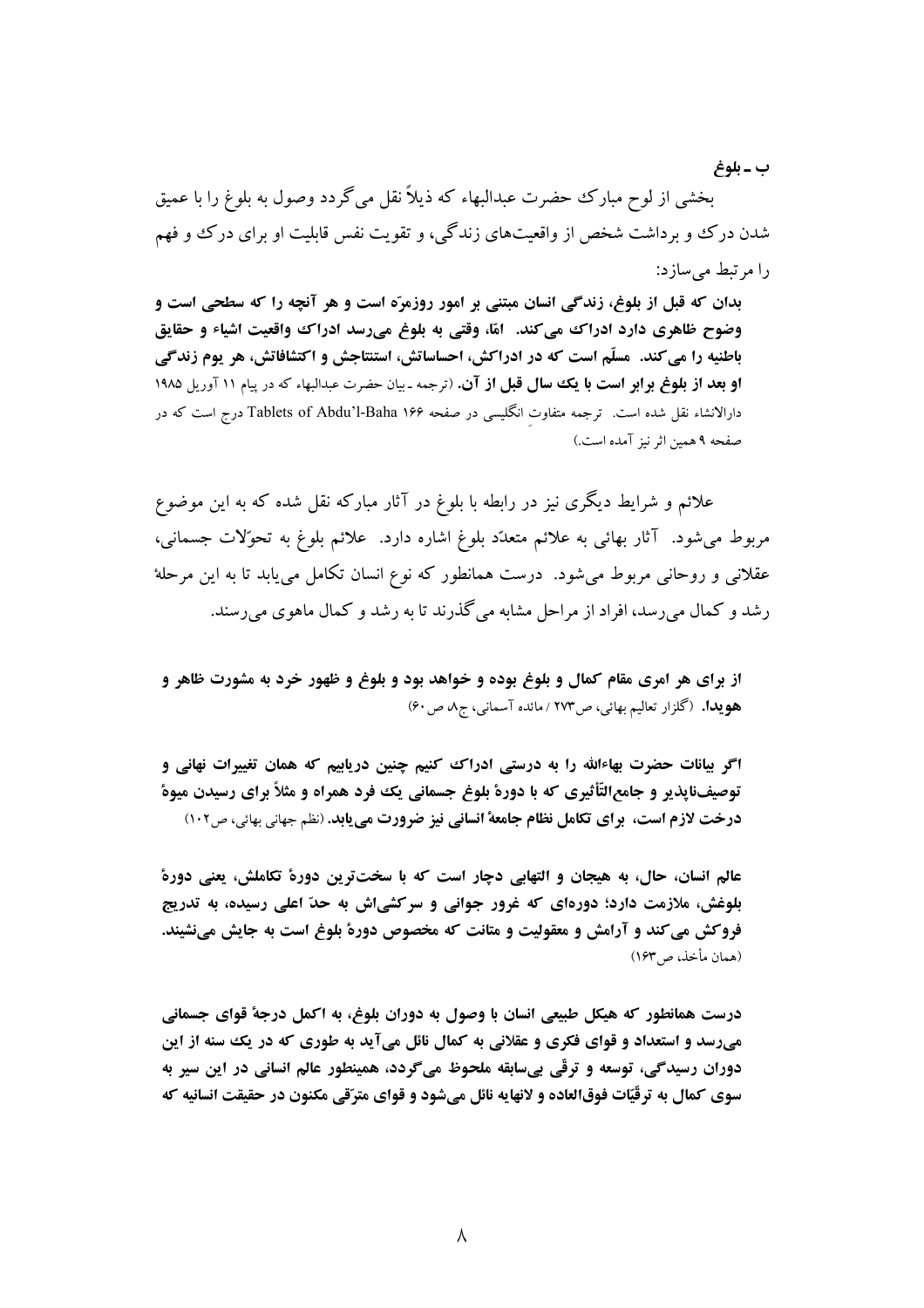ب ـ بلوغ

بخشي از لوح مبارک حضرت عبدالبهاء که ذيلاً نقل مي گردد وصول به بلوغ را با عميق شدن درک و برداشت شخص از واقعیتهای زندگی، و تقویت نفس قابلیت او برای درک و فهم را مرتبط می سازد:

بدان که قبل از بلوغ، زندگی انسان مبتنی بر امور روزمرّه است و هر آنچه را که سطحی است و وضوح ظاهری دارد ادراک می کند. آمّا، وقتی به بلوغ میرسد ادراک واقعیت اشیاء و حقایق باطنیه را می کند. مسلّم است که در ادراکش، احساساتش، استنتاجش و اکتشافاتش، هر یوم زندگی **او بعد از بلوغ برابر است با یک سال قبل از آن.** (ترجمه ـ بیان حضرت عبدالبهاء که در پیام ۱۱ آوریل ۱۹۸۵ دارالانشاء نقل شده است. ترجمه متفاوت انگلیسی در صفحه Tablets of Abdu'l-Baha ۱۶۶ درج است که در صفحه ۹ همین اثر نیز آمده است.)

علائم و شرایط دیگری نیز در رابطه با بلوغ در آثار مبارکه نقل شده که به این موضوع مربوط مي شود. آثار بهائي به علائم متعدّد بلوغ اشاره دارد. علائم بلوغ به تحوّلات جسماني، عقلانی و روحانی مربوط میشود. درست همانطور که نوع انسان تکامل می یابد تا به این مرحلهٔ رشد و کمال میررسد، افراد از مراحل مشابه میگذرند تا به رشد و کمال ماهوی میرسند.

از برای هر امری مقام کمال و بلوغ بوده و خواهد بود و بلوغ و ظهور خرد به مشورت ظاهر و هويدا. (گلزار تعاليم بهائي، ص١٧٣ / مائده آسماني، ج٨ ص ۶٠)

اگر بیانات حضرت بهاءالله را به درستی ادراک کنیم چنین دریاییم که همان تغییرات نهانی و توصیفنایذیر و جامع|لتّأثیری که با دورهٔ بلوغ جسمانی یک فرد همراه و مثلاً برای رسیدن میوهٔ درخت لازم است، براي تكامل نظام جامعة انساني نيز ضرورت مي يابد. (نظم جهاني بهائي، ص١٠٢)

عالم انسان، حال، به هیجان و التهابی دچار است که با سختترین دورهٔ تکاملش، یعنی دورهٔ بلوغش، ملازمت دارد؛ دورهای که غرور جوانی و سرکشی ش به حدّ اعلی رسیده، به تدریج فروکش می کند و آرامش و معقولیت و متانت که مخصوص دورهٔ بلوغ است به جایش مینشیند. (همان مأخذ، ص١۶٣)

درست همانطور که هیکل طبیعی انسان با وصول به دوران بلوغ، به اکمل درجهٔ قوای جسمانی میرسد و استعداد و قوای فکری و عقلانی به کمال نائل میآید به طوری که در یک سنه از این دوران رسیدگی، توسعه و ترقّی بیسابقه ملحوظ میگردد، همینطور عالم انسانی در این سیر به سوي كمال به ترقّيّات فوقالعاده و لانهايه نائل مي شود و قواي مترّقي مكنون در حقيقت انسانيه كه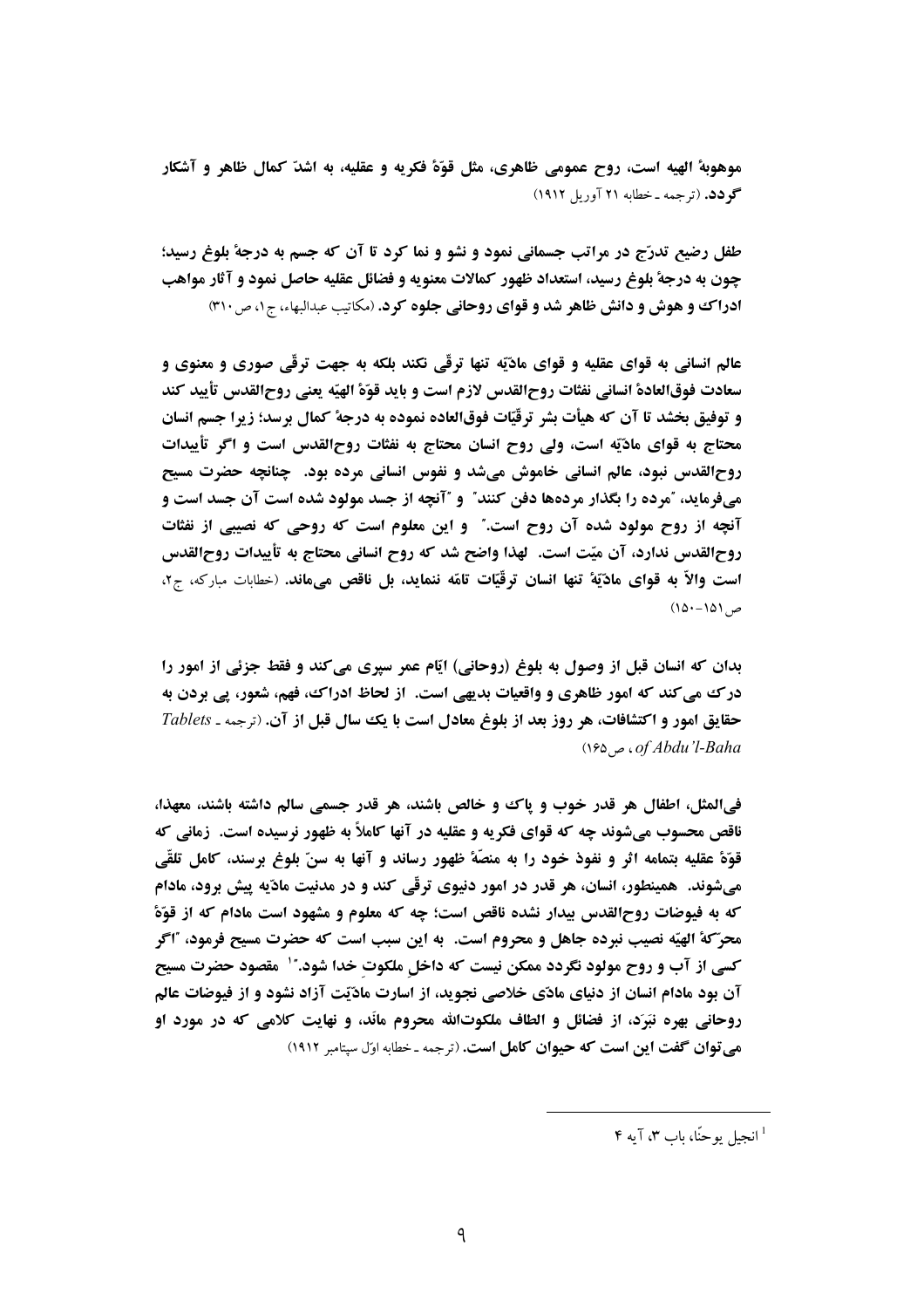موهوبهٔ الهیه است، روح عمومی ظاهری، مثل قوّهٔ فکریه و عقلیه، به اشدّ کمال ظاهر و آشکار گو دد. (ترجمه ـ خطابه ۲۱ آوریل ۱۹۱۲)

طفل رضیع تدرّج در مراتب جسمانی نمود و نشو و نما کرد تا آن که جسم به درجهٔ بلوغ رسید؛ چون به درجهٔ بلوغ رسید، استعداد ظهور کمالات معنویه و فضائل عقلیه حاصل نمود و آثار مواهب ادراک و هوش و دانش ظاهر شد و قوای روحانی جلوه کرد. (مکاتیب عبدالبهاء، ج ۰، ص ۳۱۰)

عالم انسانی به قوای عقلیه و قوای مادّیّه تنها ترقّی نکند بلکه به جهت ترقّی صوری و معنوی و سعادت فوق|لعادة انساني نفثات روح|لقدس لازم است و بايد قوّة الهيّه يعني روح|لقدس تأييد كند و توفيق بخشد تا آن كه هيأت بشر ترقّيّات فوقالعاده نموده به درجهٔ كمال برسد؛ زيرا جسم انسان محتاج به قوای مادّیّه است، ولی روح انسان محتاج به نفثات روح|لقدس است و اگر تأییدات روحالقدس نبود، عالم انسانی خاموش میشد و نفوس انسانی مرده بود. چنانچه حضرت مسیح میفرماید، آمرده را بگذار مردهها دفن کنند" و آنچه از جسد مولود شده است آن جسد است و آنچه از روح مولود شده آن روح است." و این معلوم است که روحی که نصیبی از نفثات روحالقدس ندارد، آن ميّت است. لهذا واضح شد كه روح انساني محتاج به تأييدات روح|لقدس است والاّ به قواي مادّيّةُ تنها انسان ترقّيّات تامّه ننمايد، بل ناقص مي،ماند. (خطابات مباركه، ج٢،  $(10 - 101)$ 

بدان که انسان قبل از وصول به بلوغ (روحانی) ایّام عمر سیری می کند و فقط جزئی از امور را درک می کند که امور ظاهری و واقعیات بدیهی است. از لحاظ ادراک، فهم، شعور، پی بردن به حقایق امور و اکتشافات، هر روز بعد از بلوغ معادل است با یک سال قبل از آن. (ترجمه ـ Tablets  $(1,8)$  . of Abdu'l-Baha

في|لمثل، اطفال هر قدر خوب و ياك و خالص باشند، هر قدر جسمي سالم داشته باشند، معهذا، ناقص محسوب میشوند چه که قوای فکریه و عقلیه در آنها کاملاً به ظهور نرسیده است. زمانی که قوّةً عقليه بتمامه اثر و نفوذ خود را به منصّةً ظهور رساند و آنها به سنّ بلوغ برسند، كامل تلقّي میشوند. همینطور، انسان، هر قدر در امور دنیوی ترقّی کند و در مدنیت مادّیه پیش برود، مادام که به فیوضات روح|لقدس بیدار نشده ناقص است؛ چه که معلوم و مشهود است مادام که از قوّةً محرّ کهٔ الهیّه نصیب نبرده جاهل و محروم است. به این سبب است که حضرت مسیح فرمود، "اگر کسی از آب و روح مولود نگردد ممکن نیست که داخل ملکوت خدا شود." ٰ مقصود حضرت مسیح آن بود مادام انسان از دنیای مادّی خلاصی نجوید، از اسارت مادّیّت آزاد نشود و از فیوضات عالم روحانی بهره نبَرَد، از فضائل و الطاف ملکوتالله محروم مانَد، و نهایت کلامی که در مورد او هي توان گفت اين است كه حيوان كامل است. (ترجمه - خطابه اوّل سيتامبر ١٩١٢)

 $\mathbf{F}$  انجباں بو جنّا، باب ۴ آبه ۴  $^1$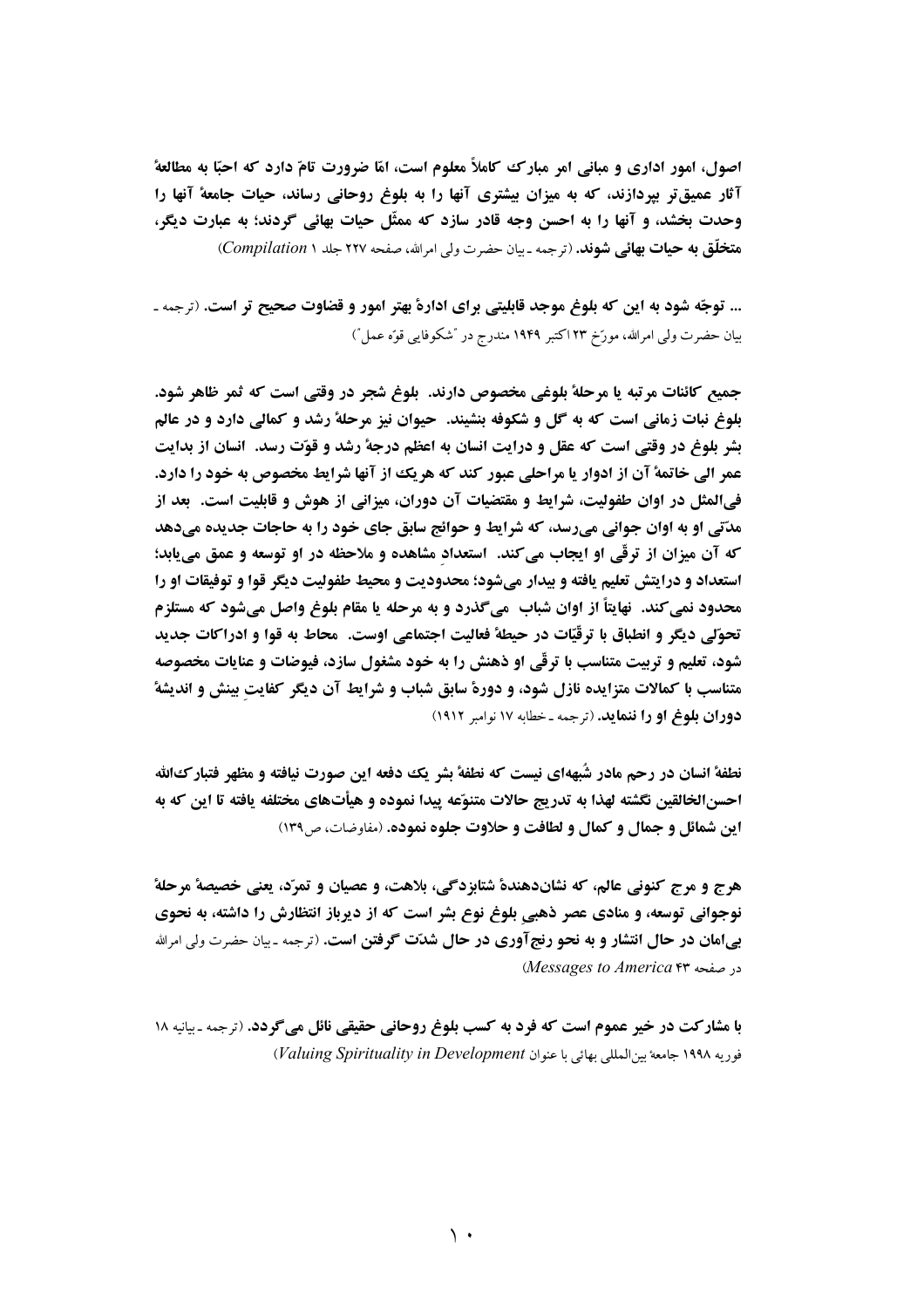اصول، امور اداری و مبانی امر مبارک کاملاً معلوم است، امّا ضرورت تامّ دارد که احبّا به مطالعهٔ آثار عمیقتر بیردازند، که به میزان بیشتری آنها را به بلوغ روحانی رساند، حیات جامعهٔ آنها را وحدت بخشد، و آنها را به احسن وجه قادر سازد که ممثّل حیات بهائی گردند؛ به عبارت دیگر، هتخلّق به حیات بهائی شوند. (ترجمه ـ بیان حضرت ولی امرالله، صفحه ۲۲۷ جلد ۱ Compilation)

... توجّه شود به این که بلوغ موجد قابلیتی برای ادارهٔ بهتر امور و قضاوت صحیح تر است. (ترجمه ـ بيان حضرت ولي امرالله، مورّخ ٢٣ اكتبر ١٩۴٩ مندرج در "شكوفايي قوّه عمل")

جميع كائنات مرتبه يا مرحلهٔ بلوغي مخصوص دارند. بلوغ شجر در وقتي است كه ثمر ظاهر شود. بلوغ نبات زمانی است که به گل و شکوفه بنشیند. حیوان نیز مرحلهٔ رشد و کمالی دارد و در عالم بشر بلوغ در وقتی است که عقل و درایت انسان به اعظم درجهٔ رشد و قوّت رسد. انسان از بدایت عمر الى خاتمة آن از ادوار يا مراحلي عبور كند كه هريك از آنها شرايط مخصوص به خود را دارد. فيالمثل در اوان طفوليت، شرايط و مقتضيات آن دوران، ميزاني از هوش و قابليت است. بعد از مدّتي او به اوان جواني مي رسد، که شرايط و حوائج سابق جاي خود را به حاجات جديده مي دهد كه آن ميزان از ترقَّى او ايجاب مي كند. استعداد مشاهده و ملاحظه در او توسعه و عمق مي يابد؛ استعداد و درايتش تعليم يافته و بيدار مي شود؛ محدوديت و محيط طفوليت ديگر قوا و توفيقات او را محدود نمي كند. نهايتاً از اوان شباب مي گذرد و به مرحله يا مقام بلوغ واصل مي شود كه مستلزم تحوّلي ديگر و انطباق با ترقّيّات در حيطة فعاليت اجتماعي اوست. محاط به قوا و ادراكات جديد شود، تعلیم و تربیت متناسب با ترقّی او ذهنش را به خود مشغول سازد، فیوضات و عنایات مخصوصه متناسب با کمالات متزایده نازل شود، و دورهٔ سابق شباب و شرایط آن دیگر کفایت بینش و اندیشهٔ دوران بلوغ او را ننماید. (ترجمه ـ خطابه ۱۷ نوامبر ۱۹۱۲)

نطفهٔ انسان در رحم مادر شَبههای نیست که نطفهٔ بشر یک دفعه این صورت نیافته و مظهر فتبارکالله احسن|لخالقين نگشته لهذا به تدريج حالات متنوّعه پيدا نموده و هيأتهاي مختلفه يافته تا اين كه به **این شمائل و جمال و کمال و لطافت و حلاوت جلوه نموده.** (مفاوضات، ص ۱۳۹)

هرج و مرج كنوني عالم، كه نشاندهندهٔ شتابزدگي، بلاهت، و عصيان و تمرّد، يعني خصيصهٔ مرحلهٔ نوجوانی توسعه، و منادی عصر ذهبی بلوغ نوع بشر است که از دیرباز انتظارش را داشته، به نحوی بیامان در حال انتشار و به نحو رنجآوری در حال شدّت گرفتن است. (ترجمه ـ بیان حضرت ولی امرالله در صفحه Messages to America ۴۳

با مشارکت در خیر عموم است که فرد به کسب بلوغ روحانی حقیقی نائل میگردد. (ترجمه ـ بیانیه ۱۸ فوريه ١٩٩٨ جامعة بين المللي بهائي يا عنوان Valuing Spirituality in Development)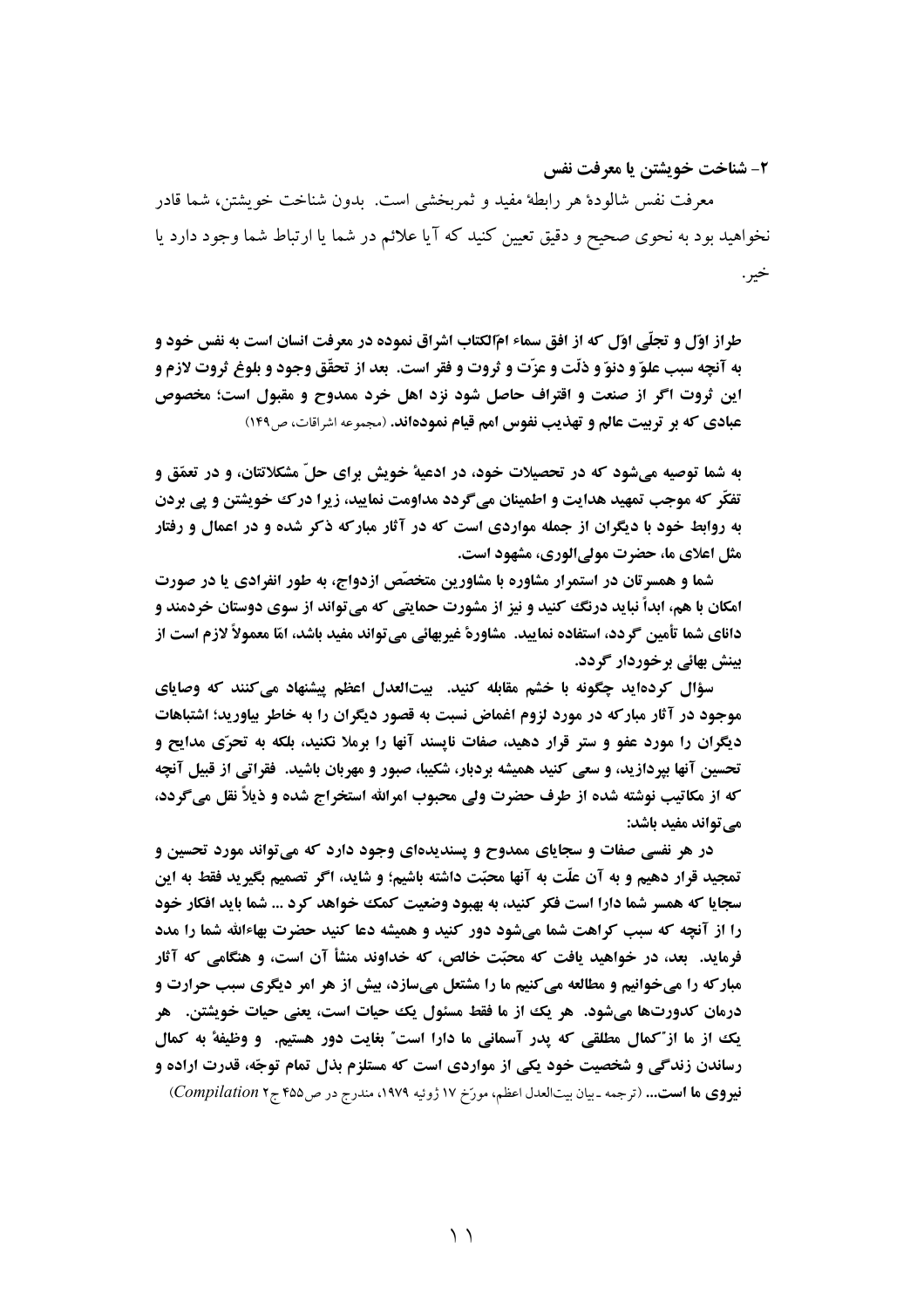٢- شناخت خويشتن يا معرفت نفس

معرفت نفس شالودهٔ هر رابطهٔ مفید و ثمربخشی است. بدون شناخت خویشتن، شما قادر نخواهید بود به نحوی صحیح و دقیق تعیین کنید که آیا علائم در شما یا ارتباط شما وجود دارد یا خير .

طراز اوّل و تجلّی اوّل که از افق سماء امّالکتاب اشراق نموده در معرفت انسان است به نفس خود و به آنچه سبب علوّ و دنوّ و ذلّت و عزّت و ثروت و فقر است. بعد از تحقّق وجود و بلوغ ثروت لازم و این ثروت اگر از صنعت و اقتراف حاصل شود نزد اهل خرد ممدوح و مقبول است؛ مخصوص عبادي كه بر تربيت عالم و تهذيب نفوس امم قيام نمودهاند. (مجموعه اشراقات، ص١٤٩)

به شما توصیه میشود که در تحصیلات خود، در ادعیهٔ خویش برای حلّ مشکلاتتان، و در تعمّق و تفکّر که موجب تمهید هدایت و اطمینان میگردد مداومت نمایید، زیرا درک خویشتن و پی بردن به روابط خود با دیگران از جمله مواردی است که در آثار مبارکه ذکر شده و در اعمال و رفتار مثل اعلای ما، حضرت مولی الوری، مشهود است.

شما و همسرتان در استمرار مشاوره با مشاورین متخصّص ازدواج، به طور انفرادی یا در صورت امکان با هم، ابداً نباید درنگ کنید و نیز از مشورت حمایتی که می تواند از سوی دوستان خردمند و دانای شما تأمین گردد، استفاده نمایید. مشاورهٔ غیربهائی میتواند مفید باشد، امّا معمولاً لازم است از بينش بهائي برخوردار گردد.

سؤال کردهاید چگونه با خشم مقابله کنید. پیتالعدل اعظم پیشنهاد می کنند که وصایای موجود در آثار مبارکه در مورد لزوم اغماض نسبت به قصور دیگران را به خاطر بیاورید؛ اشتباهات دیگران را مورد عفو و ستر قرار دهید، صفات نایسند آنها را برملا نکنید، بلکه به تحرّی مدایح و تحسین آنها بپردازید، و سعی کنید همیشه بردبار، شکیبا، صبور و مهربان باشید. فقراتی از قبیل آنچه که از مکاتیب نوشته شده از طرف حضرت ولی محبوب امرالله استخراج شده و ذیلاً نقل می گردد، می تواند مفید باشد:

در هر نفسی صفات و سجایای ممدوح و پسندیدهای وجود دارد که می تواند مورد تحسین و تمجيد قرار دهيم و به آن علَّت به آنها محبَّت داشته باشيم؛ و شايد، اگر تصميم بگيريد فقط به اين سجایا که همسر شما دارا است فکر کنید، به بهبود وضعیت کمک خواهد کرد ... شما باید افکار خود را از آنچه که سبب کراهت شما میشود دور کنید و همیشه دعا کنید حضرت بهاءالله شما را مدد فرماید. ۖ بعد، در خواهید یافت که محبّت خالص، که خداوند منشأ آن است، و هنگامی که آثار **مبارکه را میخوانیم و مطالعه می کنیم ما را مشتعل میسازد، بیش از هر امر دیگری سبب حرارت و** درمان کدورتها میشود. هر یک از ما فقط مسئول یک حیات است، یعنی حیات خویشتن. هر یک از ما از ّکمال مطلقی که پدر آسمانی ما دارا است ّ بغایت دور هستیم. و وظیفهٔ به کمال رساندن زندگی و شخصیت خود یکی از مواردی است که مستلزم بذل تمام توجّه، قدرت اراده و فيووي ها است... (ترجمه ـ بيان بيتالعدل اعظم، مورّخ ١٧ ژوئيه ١٩٧٩، مندرج در ص٤٥٥ ج٢ Compilation)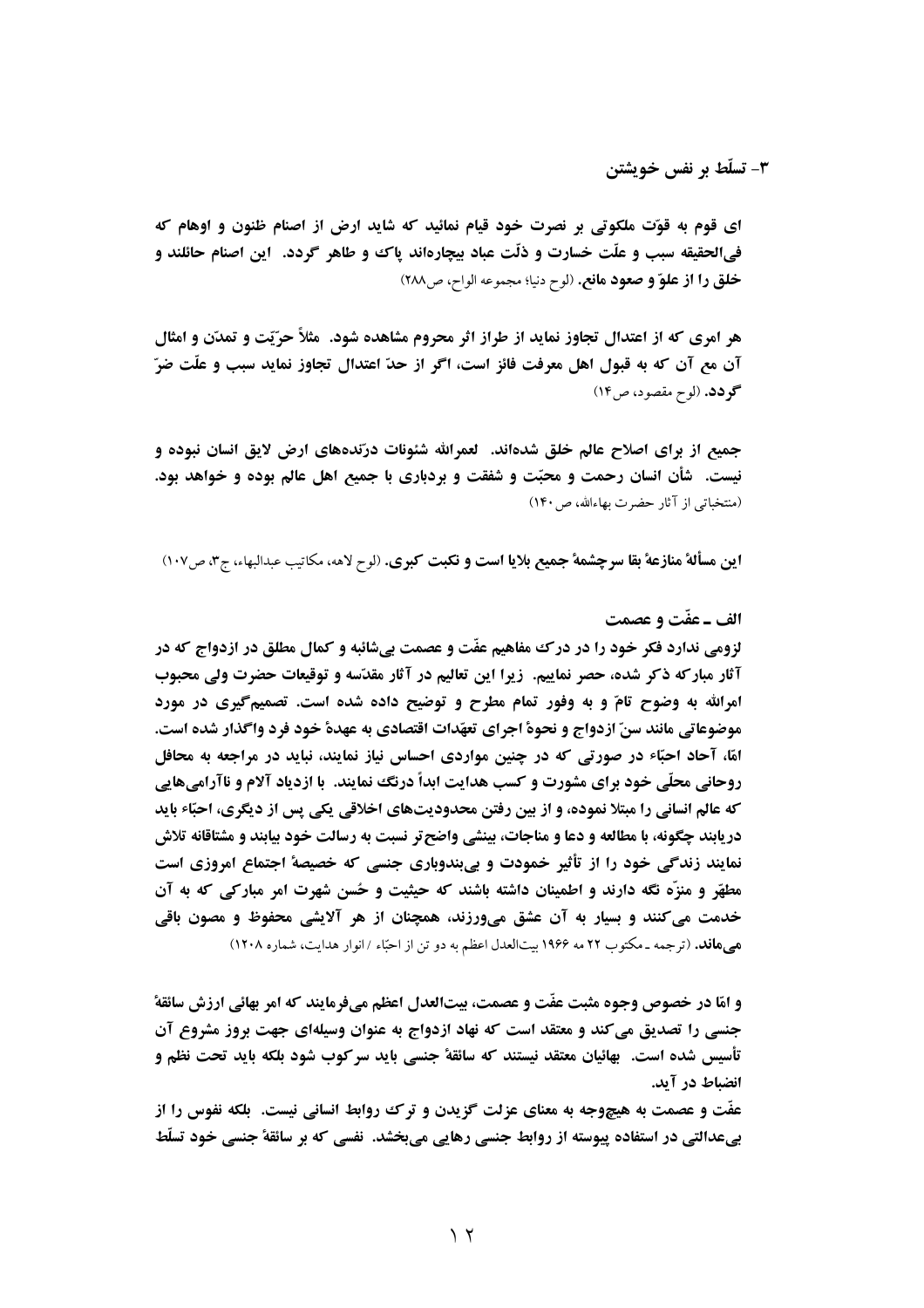۳- تسلّط بر نفس خویشتن

اي قوم به قوّت ملكوتي بر نصرت خود قيام نمائيد كه شايد ارض از اصنام ظنون و اوهام كه فيالحقيقه سبب و علَّت خسارت و ذلَّت عباد بيچارهاند پاک و طاهر گردد. آين اصنام حائلند و خلق را از علوّ و صعود مانع. (لوح دنيا؛ مجموعه الواح، ص١٨٨)

هر امری که از اعتدال تجاوز نماید از طراز اثر محروم مشاهده شود. مثلاً حرّیّت و تمدّن و امثال آن مع آن که به قبول اهل معرفت فائز است، اگر از حدّ اعتدال تجاوز نماید سبب و علّت ضرّ گو دد. (لوح مقصود، ص١٤)

جمیع از برای اصلاح عالم خلق شدهاند. لعمرالله شئونات درّندههای ارض لایق انسان نبوده و نیست. ۖ شأن انسان رحمت و محبّت و شفقت و بردباری با جمیع اهل عالم بوده و خواهد بود. (منتخباتی از آثار حضرت بهاءالله، ص ۱۴۰)

اين مسألة منازعة بقا سرچشمة جميع بلايا است و نكبت كبرى. (لوح لاهه، مكاتيب عبدالبهاء، ج٣، ص١٠٧)

#### الف ـ عفّت و عصمت

لزومي ندارد فکر خود را در درک مفاهيم عفّت و عصمت بي شائبه و کمال مطلق در ازدواج که در آثار مبارکه ذکر شده، حصر نماییم. زیرا این تعالیم در آثار مقدّسه و توقیعات حضرت ولی محبوب امرالله به وضوح تامّ و به وفور تمام مطرح و توضیح داده شده است. تصمیمگیری در مورد موضوعاتي مانند سنّ ازدواج و نحوة اجراي تعهّدات اقتصادي به عهدة خود فرد واگذار شده است. امّا، آحاد احبّاء در صورتی که در چنین مواردی احساس نیاز نمایند، نباید در مراجعه به محافل روحانی محلّی خود برای مشورت و کسب هدایت ابداً درنگ نمایند. با ازدیاد آلام و ناآرامیهایی که عالم انسانی را مبتلا نموده، و از بین رفتن محدودیتهای اخلاقی یکی پس از دیگری، احبّاء باید دریابند چگونه، با مطالعه و دعا و مناجات، بینشی واضح تر نسبت به رسالت خود بیابند و مشتاقانه تلاش نمایند زندگی خود را از تأثیر خمودت و پیبندوباری جنسی که خصیصهٔ اجتماع امروزی است مطهّر و منزّه نگه دارند و اطمینان داشته باشند که حیثیت و حُسن شهرت امر مبارکی که به آن خدمت می کنند و بسار به آن عشق میورزند، همچنان از هر آلایشی محفوظ و مصون باقی هی هافد. (ترجمه ـ مکتوب ۲۲ مه ۱۹۶۶ بیتالعدل اعظم به دو تن از احبّاء /انوار هدایت، شماره ۱۲۰۸)

و امّا در خصوص وجوه مثبت عفّت و عصمت، بيتالعدل اعظم ميفرمايند كه امر بهائي ارزش سائقة ً جنسی را تصدیق می کند و معتقد است که نهاد ازدواج به عنوان وسیلهای جهت بروز مشروع آن تأسيس شده است. ۖ بهائيان معتقد نيستند كه سائقة جنسي بايد سركوب شود بلكه بايد تحت نظم و انضباط در آید.

عفَّت و عصمت به هیچوجه به معنای عزلت گزیدن و ترک روابط انسانی نیست. بلکه نفوس را از بیعدالتی در استفاده پیوسته از روابط جنسی رهایی میبخشد. نفسی که بر سائقهٔ جنسی خود تسلّط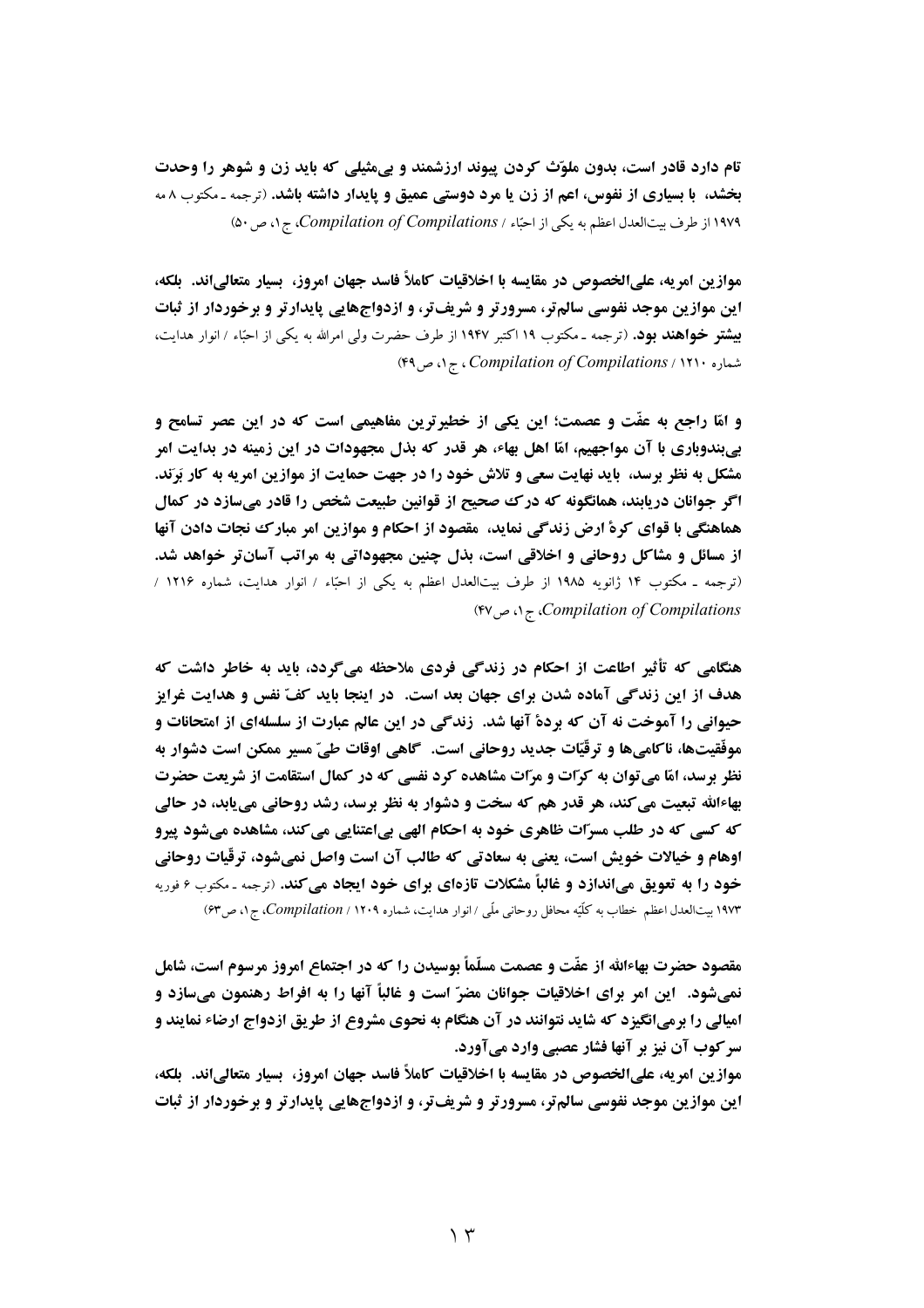تام دارد قادر است، بدون ملوّث کردن پیوند ارزشمند و پیمثیلی که باید زن و شوهر را وحدت بخشد، با بسیاری از نفوس، اعم از زن یا مرد دوستی عمیق و پایدار داشته باشد. (ترجمه ـ مکتوب ۸ مه ١٩٧٩ از طرف بیت العدل اعظم به یکی از احبّاء / Compilation of Compilations، ج١، ص٥٠)

موازين امريه، علىالخصوص در مقايسه با اخلاقيات كاملاً فاسد جهان امروز، بسيار متعالىاند. بلكه، این موازین موجد نفوسی سالم تر، مسرورتر و شریف تر، و ازدواجهایی پایدارتر و برخوردار از ثبات **بیشتر خواهند بود.** (ترجمه ـ مکتوب ۱۹ اکتبر ۱۹۴۷ از طرف حضرت ولی امرالله به یکی از احبًاء / انوار هدایت، شماره ۲۹۰'، Compilation of Compilations، ج ۱، ص ۴۹)

و امّا راجع به عفّت و عصمت؛ این یکی از خطیرترین مفاهیمی است که در این عصر تسامح و بیبندوباری با آن مواجهیم، امّا اهل بهاء، هر قدر که بذل مجهودات در این زمینه در بدایت امر مشکل به نظر برسد، باید نهایت سعی و تلاش خود را در جهت حمایت از موازین امریه به کار بَرَند. اگر جوانان دریابند، همانگونه که درک صحیح از قوانین طبیعت شخص را قادر میسازد در کمال هماهنگی با قوای کرهٔ ارض زندگی نماید، ًمقصود از احکام و موازین امر مبارک نجات دادن آنها از مسائل و مشاکل روحانی و اخلاقی است، بذل چنین مجهوداتی به مراتب آسانتر خواهد شد. (ترجمه ـ مکتوب ۱۴ ژانویه ۱۹۸۵ از طرف بیتالعدل اعظم به یکی از احبًاء / انوار هدایت، شماره ۱۲۱۶ / (۴۷ Compilation of Compilations)، ج ۱، ص ۴۷)

هنگامی که تأثیر اطاعت از احکام در زندگی فردی ملاحظه میگردد، باید به خاطر داشت که هدف از این زندگی آماده شدن برای جهان بعد است. در اینجا باید کفّ نفس و هدایت غرایز حیوانی را آموخت نه آن که بردهٔ آنها شد. زندگی در این عالم عبارت از سلسلهای از امتحانات و موفَّقيتها، ناكاميها و ترقّيّات جديد روحاني است. گاهي اوقات طيّ مسير ممكن است دشوار به نظر برسد، امّا می توان به کرّات و مرّات مشاهده کرد نفسی که در کمال استقامت از شریعت حضرت بهاءالله تبعیت می کند، هر قدر هم که سخت و دشوار به نظر برسد، رشد روحانی می یابد، در حالی که کسی که در طلب مسرّات ظاهری خود به احکام الهی بیاعتنایی می کند، مشاهده میشود پیرو اوهام و خیالات خویش است، یعنی به سعادتی که طالب آن است واصل نمیشود، ترقّیات روحانی خود را به تعویق میاندازد و غالباً مشکلات تازهای برای خود ایجاد میکند. (ترجمه ـ مکتوب ۶ فوریه ۱۹۷۳ بیتالعدل اعظم خطاب به کلّیّه محافل روحانبی ملّبی /انوار هدایت، شماره ۱۲۰۹ / Compilation، ج۱، ص۶۳)

مقصود حضرت بهاءالله از عفّت و عصمت مسلّماً بوسیدن را که در اجتماع امروز مرسوم است، شامل نمی شود. آین امر برای اخلاقیات جوانان مضرّ است و غالباً آنها را به افراط رهنمون می سازد و **امیالی را برمیانگیزد که شاید نتوانند در آن هنگام به نحوی مشروع از طریق ازدواج ارضاء نمایند و** سر کوب آن نیز بر آنها فشار عصبی وارد میآورد.

موازين امريه، علىالخصوص در مقايسه با اخلاقيات كاملاً فاسد جهان امروز، بسيار متعالىاند. بلكه، این موازین موجد نفوسی سالم تر، مسرورتر و شریف تر، و ازدواجهایی پایدارتر و برخوردار از ثبات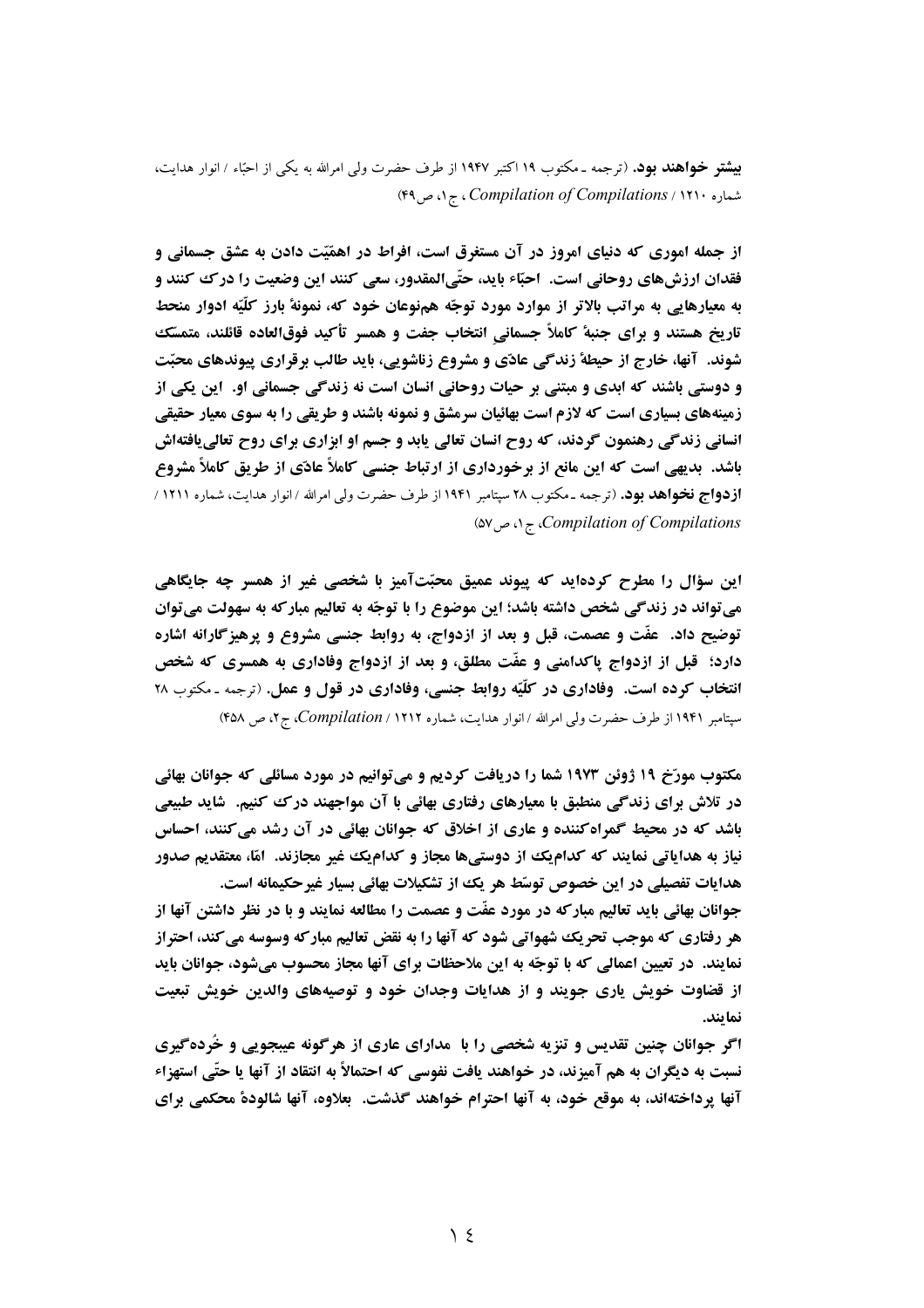**بیشتر خواهند بود.** (ترجمه ـ مکتوب ۱۹ اکتبر ۱۹۴۷ از طرف حضرت ولی امرالله به یکی از احبّاء / انوار هدایت، شماره ۲۹۰، Compilation of Compilations، ج ۱، ص ۴۹)

از جمله اموری که دنیای امروز در آن مستغرق است، افراط در اهمّیّت دادن به عشق جسمانی و فقدان ارزشهای روحانی است. احبّاء باید، حتّیالمقدور، سعی کنند این وضعیت را در ک کنند و به معیارهایی به مراتب بالاتر از موارد مورد توجّه همنوعان خود که، نمونهٔ بارز کلّیّه ادوار منحط تاریخ هستند و برای جنبهٔ کاملاً جسمانی انتخاب جفت و همسر تأکید فوقالعاده قائلند، متمسّک شوند. آنها، خارج از حیطهٔ زندگی عادّی و مشروع زناشویی، باید طالب برقراری پیوندهای محبّت و دوستی باشند که ابدی و مبتنی بر حیات روحانی انسان است نه زندگی جسمانی او. این یکی از زمینههای بسیاری است که لازم است بهائیان سرمشق و نمونه باشند و طریقی را به سوی معیار حقیقی انسانی زندگی رهنمون گردند، که روح انسان تعالی یابد و جسم او ابزاری برای روح تعالی یافتهاش باشد. بدیهی است که این مانع از برخورداری از ارتباط جنسی کاملاً عادّی از طریق کاملاً مشروع **ازدواج نخواهد بود.** (ترجمه ـ مكتوب ٢٨ سپتامبر ١٩۴١ از طرف حضرت ولي امرالله / انوار هدايت، شماره ١٢١١ / (۵۷ می $\zeta$ ه) *ج (compilation of Compilations* 

این سؤال را مطرح کردهاید که پیوند عمیق محبّتآمیز با شخصی غیر از همسر چه جایگاهی مي تواند در زندگي شخص داشته باشد؛ اين موضوع را با توجّه به تعاليم مباركه به سهولت مي توان توضیح داد. ً عفّت و عصمت، قبل و بعد از ازدواج، به روابط جنسی مشروع و پرهیز گارانه اشاره دارد؛ قبل از ازدواج پاکدامنی و عفّت مطلق، و بعد از ازدواج وفاداری به همسری که شخص انتخاب کرده است. وفاداری در کلّیّه روابط جنسی، وفاداری در قول و عمل. (ترجمه ـ مکتوب ۲۸ سپتامبر ۱۹۴۱ از طرف حضرت ولی امرالله / انوار هدایت، شماره ۲۱۲۱ / Compilation، ج ۲، ص ۴۵۸)

مکتوب مورّخ ۱۹ ژوئن ۱۹۷۳ شما را دریافت کردیم و میتوانیم در مورد مسائلی که جوانان بهائی در تلاش برای زندگی منطبق با معیارهای رفتاری بهائی با آن مواجهند درک کنیم. شاید طبیعی باشد که در محیط گمراه کننده و عاری از اخلاق که جوانان بهائی در آن رشد می کنند، احساس نیاز به هدایاتی نمایند که کدامیک از دوستیها مجاز و کدامیک غیر مجازند. آمّا، معتقدیم صدور هدایات تفصیلی در این خصوص توسّط هر یک از تشکیلات بهائی بسیار غیرحکیمانه است. جوانان بهائی باید تعالیم مبارکه در مورد عفّت و عصمت را مطالعه نمایند و با در نظر داشتن آنها از هر رفتاری که موجب تحریک شهواتی شود که آنها را به نقض تعالیم مبارکه وسوسه می کند، احتراز نمایند. در تعیین اعمالی که با توجّه به این ملاحظات برای آنها مجاز محسوب میشود، جوانان باید

از قضاوت خویش یاری جویند و از هدایات وجدان خود و توصیههای والدین خویش تبعیت نمايند.

اگر جوانان چنین تقدیس و تنزیه شخصی را با ً مدارای عاری از هرگونه عیبجویی و خُردهگیری نسبت به دیگران به هم آمیزند، در خواهند یافت نفوسی که احتمالاً به انتقاد از آنها یا حتّی استهزاء آنها پرداختهاند، به موقع خود، به آنها احترام خواهند گذشت. بعلاوه، آنها شالودهٔ محکمی برای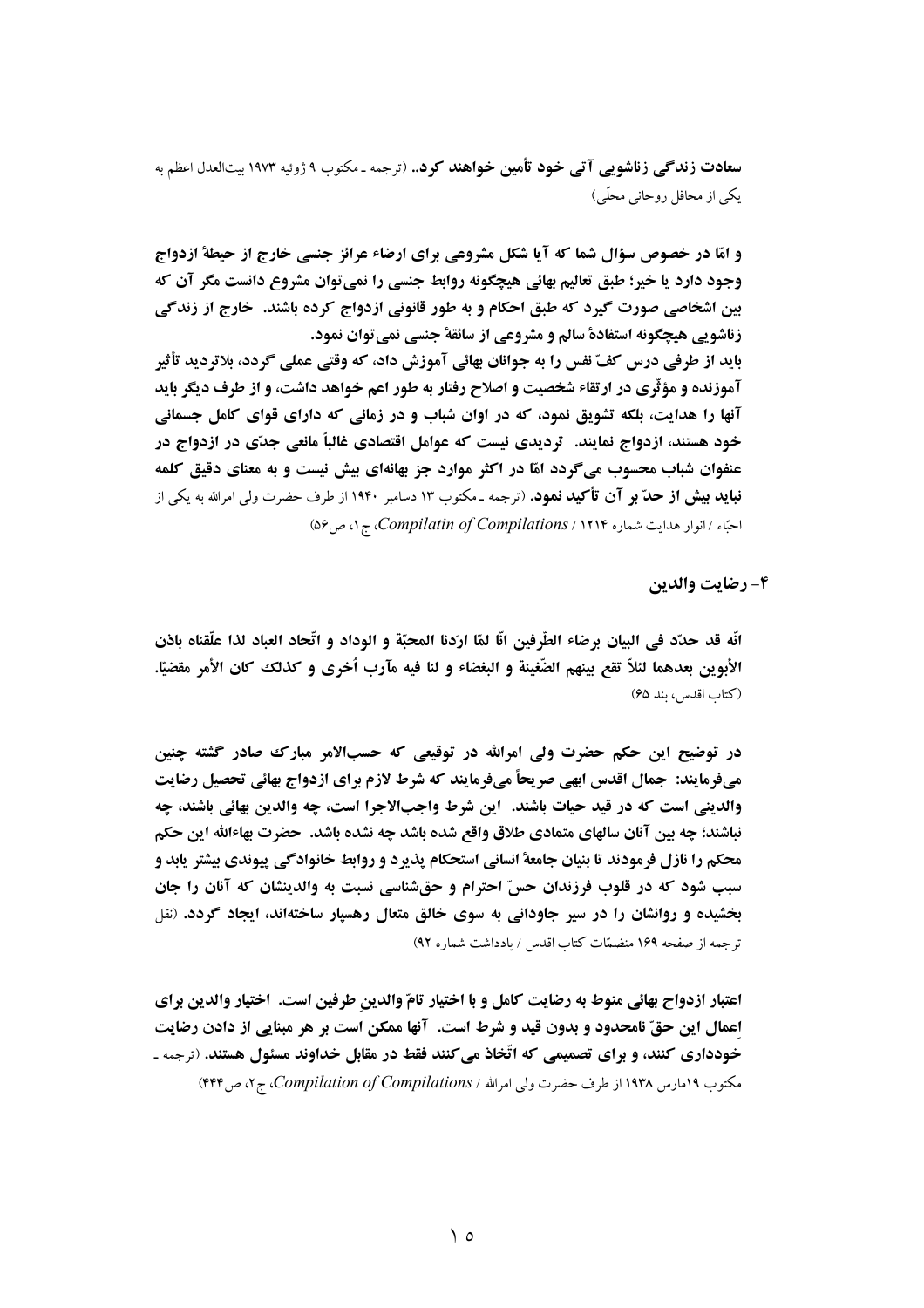سعادت زندگی زناشویی آتی خود تأمین خواهند کرد.. (ترجمه ـ مکتوب ۹ ژوئیه ۱۹۷۳ بیتالعدل اعظم به یکی از محافل روحانی محلّی)

و امّا در خصوص سؤال شما که آیا شکل مشروعی برای ارضاء عرائز جنسی خارج از حیطهٔ ازدواج وجود دارد یا خیر؛ طبق تعالیم بهائی هیچگونه روابط جنسی را نمی توان مشروع دانست مگر آن که بین اشخاصی صورت گیرد که طبق احکام و به طور قانونی ازدواج کرده باشند. خارج از زندگی زناشويي هيچگونه استفادة سالم و مشروعي از سائقة جنسي نمي توان نمود. باید از طرفی درس کفّ نفس را به جوانان بهائی آموزش داد، که وقتی عملی گردد، بلاتردید تأثیر **آموزنده و مؤثّری در ارتقاء شخصیت و اصلاح رفتار به طور اعم خواهد داشت، و از طرف دیگر باید** آنها را هدایت، بلکه تشویق نمود، که در اوان شباب و در زمانی که دارای قوای کامل جسمانی خود هستند، ازدواج نمایند. آو دیدی نیست که عوامل اقتصادی غالباً مانعی جدّی در ازدواج در عنفوان شباب محسوب می گردد امّا در اکثر موارد جز بهانهای بیش نیست و به معنای دقیق کلمه **نباید بیش از حدّ بر آن تأکید نمود.** (ترجمه ـ مکتوب ۱۳ دسامبر ۱۹۴۰ از طرف حضرت ولی امرالله به یکی از احبّاء / انوار هدایت شماره ۱۲۱۴ / Compilatin of Compilations، ج ۱، ص ۵۶)

4- رضايت والدين

انَّه قد حدَّد في البيان برضاء الطَّرفين انَّا لمَّا ارَدنا المحبَّة و الوداد و اتَّحاد العباد لذا علّقناه باذن الأبوين بعدهما لئلاّ تقع بينهم الضَّغينة و البغضاء و لنا فيه مآرب اُخرى و كذلك كان الأمر مقضيّا. (كتاب اقدس، بند ۶۵)

در توضیح این حکم حضرت ولی امرالله در توقیعی که حسبالامر مبارک صادر گشته چنین میفرمایند: جمال اقدس ابھی صریحاً میفرمایند که شرط لازم برای ازدواج بهائی تحصیل رضایت والديني است كه در قيد حيات باشند. اين شرط واجبالاجرا است، چه والدين بهائي باشند، چه نباشند؛ چه بین آنان سالهای متمادی طلاق واقع شده باشد چه نشده باشد. حضرت بهاءالله این حکم محکم را نازل فرمودند تا بنیان جامعهٔ انسانی استحکام پذیرد و روابط خانوادگی پیوندی بیشتر پابد و سبب شود که در قلوب فرزندان حسّ احترام و حقشناسی نسبت به والدینشان که آنان را جان بخشیده و روانشان را در سیر جاودانی به سوی خالق متعال رهسپار ساختهاند، ایجاد گردد. (نقل ترجمه از صفحه ۱۶۹ منضمّات کتاب اقدس / یادداشت شماره ۹۲)

اعتبار ازدواج بهائی منوط به رضایت کامل و با اختیار تامّ والدین طرفین است. اختیار والدین برای اعمال این حقّ نامحدود و بدون قید و شرط است. آنها ممکن است بر هر مبنایی از دادن رضایت خودداری کنند، و برای تصمیمی که اتّخاذ میکنند فقط در مقابل خداوند مسئول هستند. (ترجمه ـ مکتوب ۱۹۳۹رس ۱۹۳۸ از طرف حضرت ولی امرالله / Compilation of Compilations. ج ۲، ص ۴۴۴)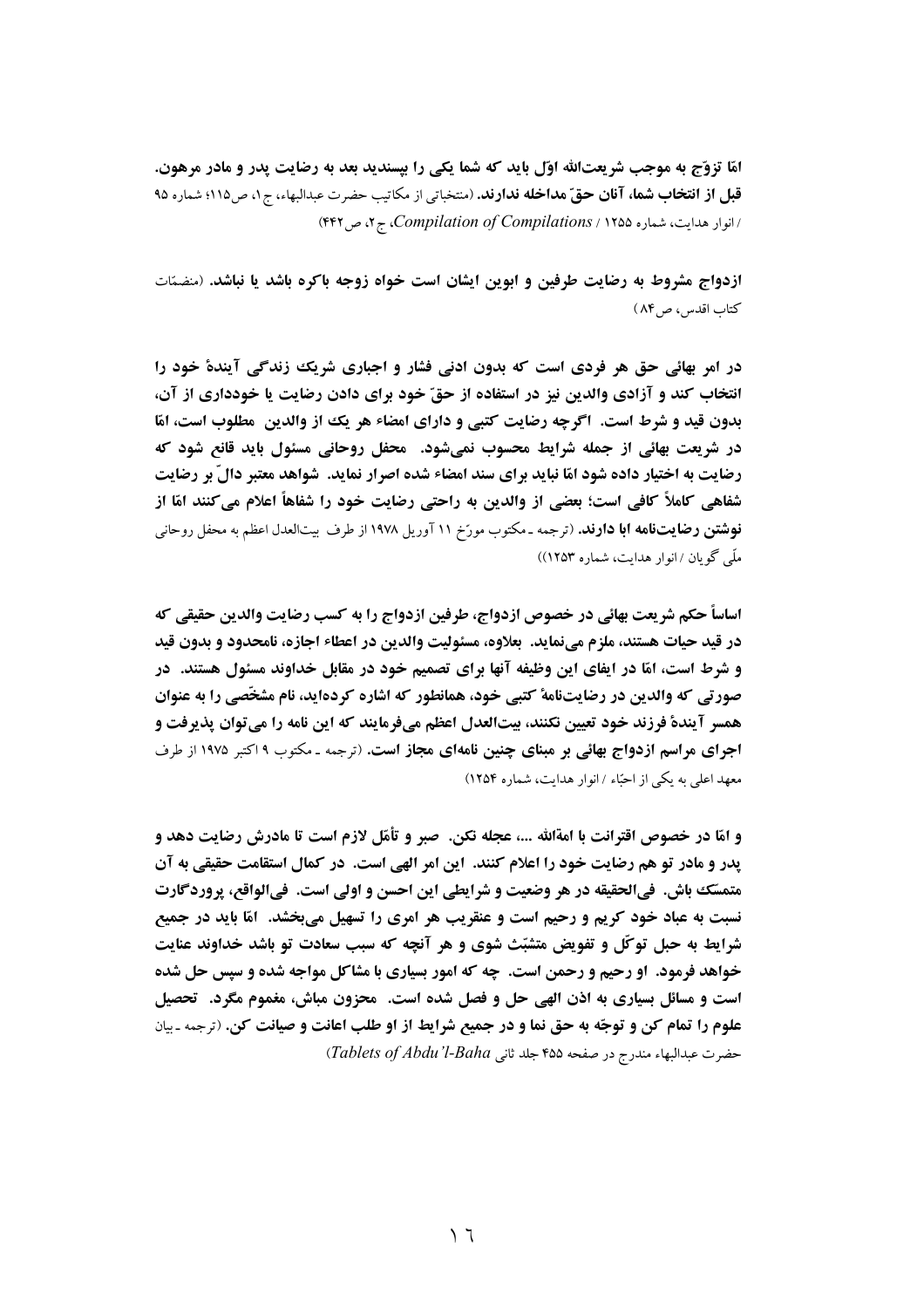امّا تزوّج به موجب شریعتالله اوّل باید که شما یکی را بیسندید بعد به رضایت پدر و مادر مرهون. قبل از انتخاب شما، آنان حقّ مداخله ندارند. (منتخباتی از مکاتیب حضرت عبدالبهاء، ج ۱، ص۱۱۵؛ شماره ۹۵ انوار هدایت، شماره ۱۲۵۵ / Compilation of Compilations، ج ۲، ص ۴۴۲)

ازدواج مشروط به رضایت طرفین و ابوین ایشان است خواه زوجه باکره باشد یا نباشد. (منضمّات کتاب اقدس، ص١۴)

در امر بهائی حق هر فردی است که بدون ادنی فشار و اجباری شریک زندگی آیندهٔ خود را انتخاب کند و آزادی والدین نیز در استفاده از حقّ خود برای دادن رضایت یا خودداری از آن، بدون قيد و شرط است. اگرچه رضايت كتبي و داراي امضاء هر يك از والدين مطلوب است، امّا در شریعت بهائی از جمله شرایط محسوب نمیشود. آمحفل روحانی مسئول باید قانع شود که رضایت به اختیار داده شود امّا نباید برای سند امضاء شده اصرار نماید. شواهد معتبر دالّ بر رضایت شفاهی کاملاً کافی است؛ بعضی از والدین به راحتی رضایت خود را شفاهاً اعلام می کنند امّا از **نوشتن رضایتنامه ابا دارند.** (ترجمه ـ مکتوب مورّخ ۱۱ آوریل ۱۹۷۸ از طرف بیتالعدل اعظم به محفل روحانی ملّی گویان / انوار هدایت، شماره ۱۲۵۳))

اساساً حكم شريعت بهائي در خصوص ازدواج، طرفين ازدواج را به كسب رضايت والدين حقيقي كه در قيد حيات هستند، ملزم مي نمايد. بعلاوه، مسئوليت والدين در اعطاء اجازه، نامحدود و بدون قيد و شرط است، امّا در ایفای این وظیفه آنها برای تصمیم خود در مقابل خداوند مسئول هستند. در صورتی که والدین در رضایتنامهٔ کتبی خود، همانطور که اشاره کردهاید، نام مشخّصی را به عنوان همسر آيندة فرزند خود تعيين نكنند، بيتالعدل اعظم ميفرمايند كه اين نامه را ميتوان يذيرفت و **اجرای مراسم ازدواج بهائی بر مبنای چنین نامهای مجاز است.** (ترجمه ـ مکتوب ۱۹کتبر ۱۹۷۵ از طرف معهد اعلی به یکی از احتّاء / انوار هدایت، شماره ۱۲۵۴)

و امّا در خصوص اقترانت با امةالله ...، عجله نكن. صبر و تأمّل لازم است تا مادرش رضايت دهد و پدر و مادر تو هم رضایت خود را اعلام کنند. این امر الهی است. در کمال استقامت حقیقی به آن متمسّك باش. فيالحقيقه در هر وضعيت و شرايطي اين احسن و اولى است. فيالواقع، پروردگارت نسبت به عباد خود کریم و رحیم است و عنقریب هر امری را تسهیل میبخشد. آمّا باید در جمیع شرایط به حبل توکّل و تفویض متشبّث شوی و هر آنچه که سبب سعادت تو باشد خداوند عنایت خواهد فرمود. او رحیم و رحمن است. چه که امور بسیاری با مشاکل مواجه شده و سپس حل شده است و مسائل بسیاری به اذن الهی حل و فصل شده است. ً محزون مباش، مغموم مگرد. تحصیل علوم را تمام کن و توجّه به حق نما و در جمیع شرایط از او طلب اعانت و صیانت کن. (ترجمه ـ بیان حضرت عبدالبهاء مندرج در صفحه ۴۵۵ جلد ثانى Tablets of Abdu'l-Baha)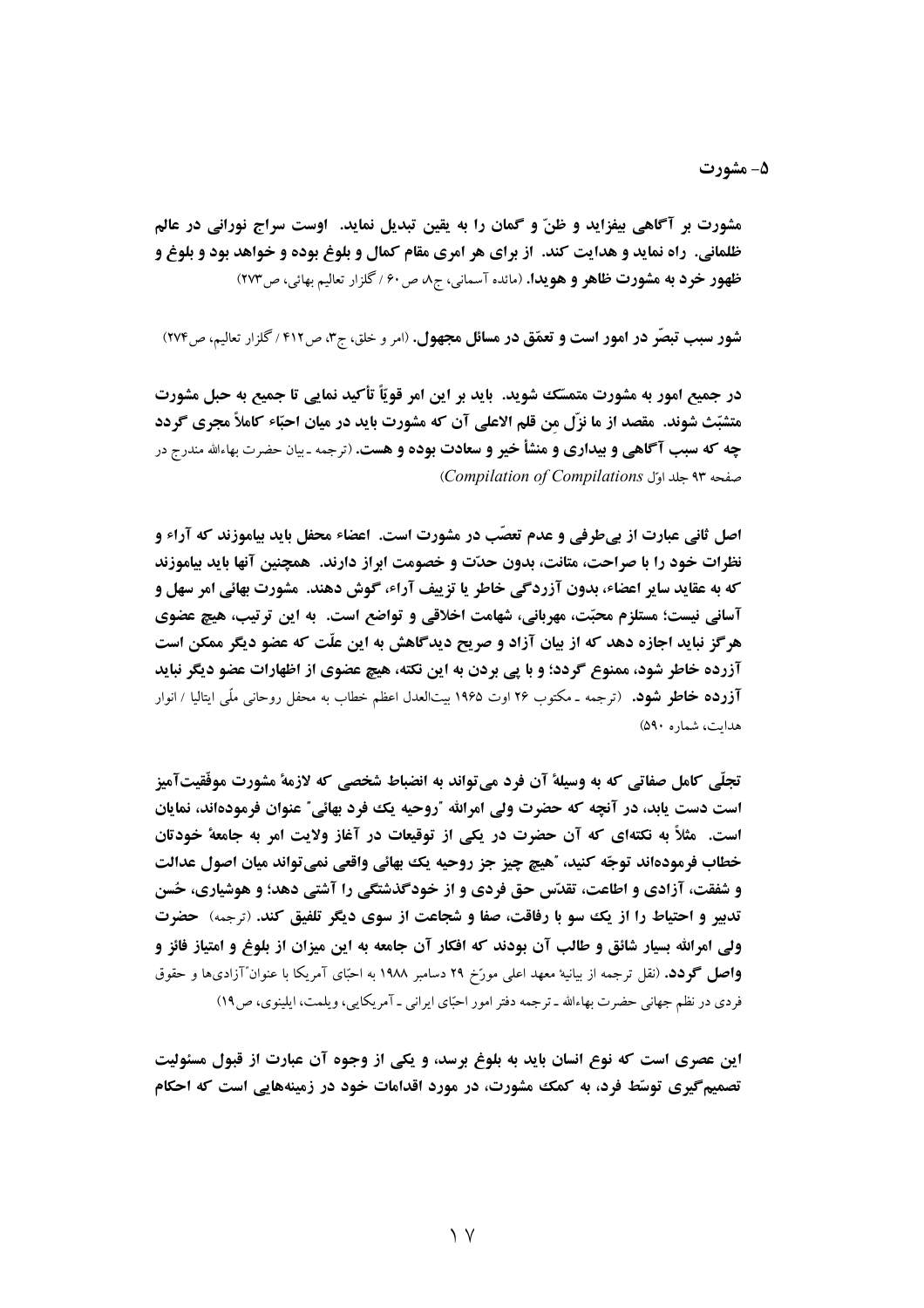مشورت بر آگاهي بيفزايد و ظنّ و گمان را به يقين تبديل نمايد. آوست سراج نوراني در عالم ظلمانی. راه نماید و هدایت کند. از برای هر امری مقام کمال و بلوغ بوده و خواهد بود و بلوغ و ظهور خرد به مشورت ظاهر و هويدا. (مائده آسماني، ج ه ص ۶۰ / گلزار تعاليم بهائي، ص ۲۷۳)

شور سبب تبصّر در امور است و تعمّق در مسائل مجهول. (امر و خلق، ج۳، ص۶۱۲ / گلزار تعالیم، ص۲۷۴)

در جميع امور به مشورت متمسّك شويد. بايد بر اين امر قويّاً تأكيد نمايي تا جميع به حبل مشورت متشبّث شوند. مقصد از ما نزّل من قلم الاعلی آن که مشورت باید در میان احبّاء کاملاً مجری گردد چه که سبب آگاهی و بیداری و منشأ خیر و سعادت بوده و هست. (ترجمه ـ بیان حضرت بهاءالله مندرج در (Compilation of Compilations)

اصل ثانی عبارت از بے طرفی و عدم تعصّب در مشورت است. اعضاء محفل باید بیاموزند که آراء و نظرات خود را با صراحت، متانت، بدون حدّت و خصومت ابراز دارند. همچنین آنها باید بیاموزند که به عقاید سایر اعضاء، بدون آزردگی خاطر یا تزییف آراء، گوش دهند. مشورت بهائی امر سهل و آسانی نیست؛ مستلزم محبّت، مهربانی، شهامت اخلاقی و تواضع است. به این ترتیب، هیچ عضوی هر گز نباید اجازه دهد که از بیان آزاد و صریح دیدگاهش به این علّت که عضو دیگر ممکن است آزرده خاطر شود، ممنوع گردد؛ و با پی بردن به این نکته، هیچ عضوی از اظهارات عضو دیگر نباید **آزرده خاطر شود.** (ترجمه ـ مكتوب ۲۶ اوت ۱۹۶۵ بیتالعدل اعظم خطاب به محفل روحانی ملّی ایتالیا / انوار هدایت، شماره ۵۹۰)

تجلَّى كامل صفاتي كه به وسيلة آن فرد مي تواند به انضباط شخصي كه لازمة مشورت موفَّقيتآميز است دست پابد، در آنچه که حضرت ولی امرالله "روحیه یک فود بهائی" عنوان فرمودهاند، نمایان است. مثلاً به نکتهای که آن حضرت در یکی از توقیعات در آغاز ولایت امر به جامعهٔ خودتان خطاب فرمودهاند توجّه كنيد، ؒهيچ چيز جز روحيه يك بهائي واقعي نميتواند ميان اصول عدالت و شفقت، آزادی و اطاعت، تقدّس حق فردی و از خودگذشتگی را آشتی دهد؛ و هوشیاری، حُسن تدبیر و احتیاط را از یک سو با رفاقت، صفا و شجاعت از سوی دیگر تلفیق کند. (ترجمه) حضرت ولی امرالله بسار شائق و طالب آن بودند که افکار آن جامعه به این میزان از بلوغ و امتیاز فائز و **واصل گودد.** (نقل ترجمه از بیانیهٔ معهد اعلی مورّخ ۲۹ دسامبر ۱۹۸۸ به احبّای آمریکا با عنوان″آزادیها و حقوق فردی در نظم جهانی حضرت بهاءالله ـ ترجمه دفتر امور احبّای ایرانی ـ آمریکایی، ویلمت، ایلینوی، ص۱۹)

این عصری است که نوع انسان باید به بلوغ برسد، و یکی از وجوه آن عبارت از قبول مسئولیت تصمیمگیری توسّط فرد، به کمک مشورت، در مورد اقدامات خود در زمینههایی است که احکام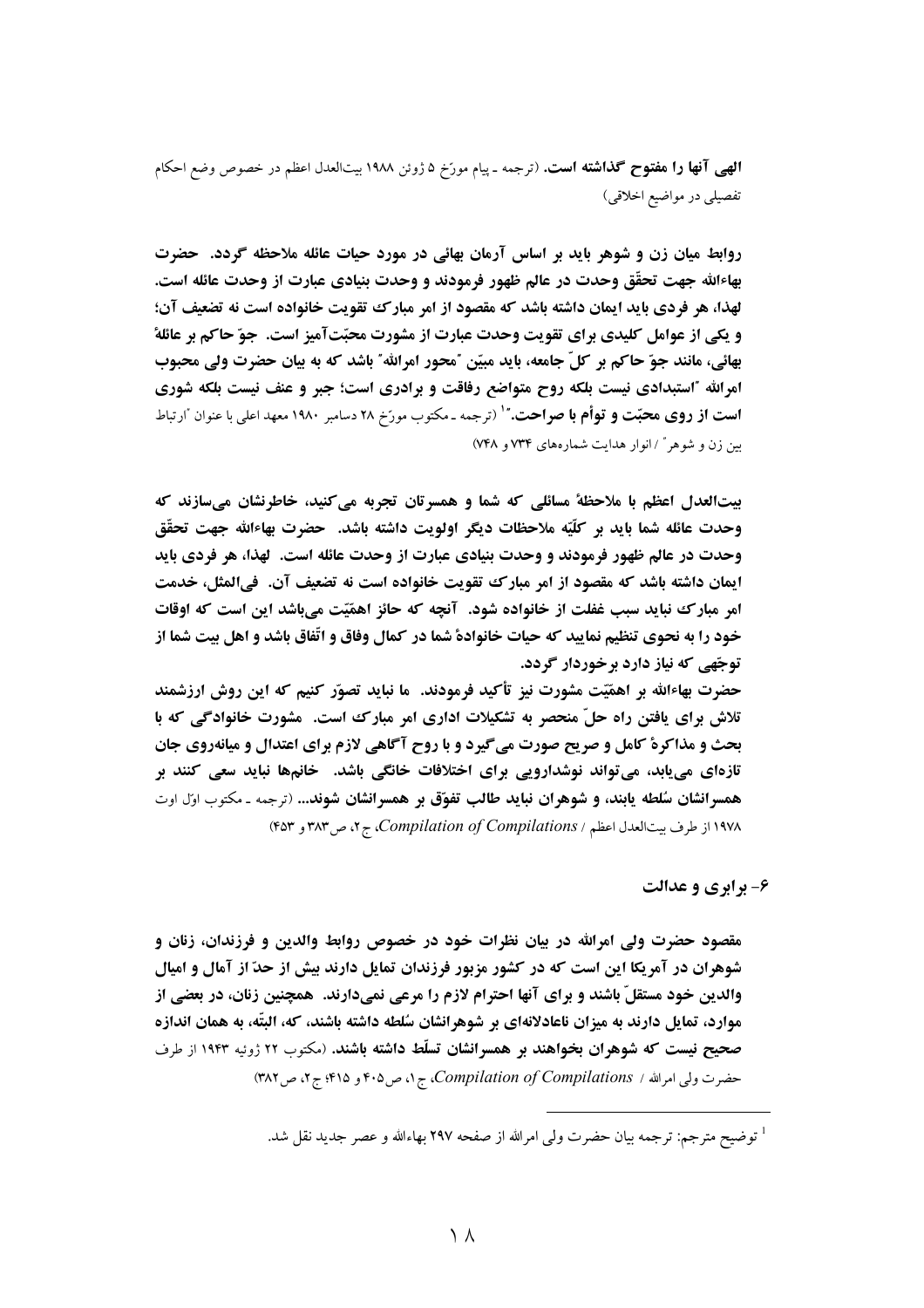**الهبي آنها را هفتوح گذاشته است.** (ترجمه ـ پيام مورّخ ۵ ژوئن ۱۹۸۸ بيتالعدل اعظم در خصوص وضع احكام تفصیلی در مواضیع اخلاقی)

روابط میان زن و شوهر باید بر اساس آرمان بهائی در مورد حیات عائله ملاحظه گردد. حضرت بهاءالله جهت تحقَّق وحدت در عالم ظهور فرمودند و وحدت بنیادی عبارت از وحدت عائله است. لهذا، هر فردي بايد ايمان داشته باشد كه مقصود از امر مبارك تقويت خانواده است نه تضعيف آن؛ و یکی از عوامل کلیدی برای تقویت وحدت عبارت از مشورت محبّتآمیز است. جوّ حاکم بر عائلهٔ بهائی، مانند جوّ حاکم بر کلّ جامعه، باید مبیّن "محور امرالله" باشد که به بیان حضرت ولی محبوب امرالله "استبدادی نیست بلکه روح متواضع رفاقت و برادری است؛ جبر و عنف نیست بلکه شوری **است از روی محبّت و توأم با صراحت.**"<sup>۱</sup> (ترجمه ـ مکتوب مورّخ ۲۸ دسامبر ۱۹۸۰ معهد اعلی با عنوان ًارتباط بین زن و شوهر" / انوار هدایت شمارههای ۷۳۴ و ۷۴۸)

بیت العدل اعظم با ملاحظهٔ مسائلی که شما و همسرتان تجربه می کنید، خاطرنشان میسازند که وحدت عائله شما بايد بر كلّيّه ملاحظات ديگر اولويت داشته باشد. حضرت بهاءالله جهت تحقّق وحدت در عالم ظهور فرمودند و وحدت بنيادي عبارت از وحدت عائله است. لهذا، هر فردي بايد ايمان داشته باشد كه مقصود از امر مبارك تقويت خانواده است نه تضعيف آن. فيالمثل، خدمت امر مبارک نباید سبب غفلت از خانواده شود. آنچه که حائز اهمّیّت میباشد این است که اوقات خود را به نحوی تنظیم نمایید که حیات خانوادهٔ شما در کمال وفاق و اتّفاق باشد و اهل بیت شما از توجّهي که نياز دارد برخوردار گردد.

حضرت بهاءالله بر اهمّیّت مشورت نیز تأکید فرمودند. ما نباید تصوّر کنیم که این روش ارزشمند تلاش برای یافتن راه حلّ منحصر به تشکیلات اداری امر مبارک است. مشورت خانوادگی که با بحث و مذاکرهٔ کامل و صریح صورت میگیرد و با روح آگاهی لازم برای اعتدال و میانهروی جان تازهای مییابد، میتواند نوشدارویی برای اختلافات خانگی باشد. خانمها نباید سعی کنند بر همسرانشان سُلطه یابند، و شوهران نباید طالب تفوّق بر همسرانشان شوند... (ترجمه ـ مکتوب اوّل اوت ۱۹۷۸ از طرف بیت العدل اعظم / Compilation of Compilations، ج ۲، ص ۳۸۳ و ۴۵۳)

۶- برابري و عدالت

مقصود حضرت ولی امرالله در بیان نظرات خود در خصوص روابط والدین و فرزندان، زنان و شوهران در آمریکا این است که در کشور مزبور فرزندان تمایل دارند بیش از حدّ از آمال و امیال والدین خود مستقلّ باشند و برای آنها احترام لازم را مرعی نمیدارند. همچنین زنان، در بعضی از موارد، تمایل دارند به میزان ناعادلانهای بر شوهرانشان سُلطه داشته باشند، که، البتّه، به همان اندازه صحیح نیست که شوهران بخواهند بر همسرانشان تسلّط داشته باشند. (مکتوب ۲۲ ژوئیه ۱۹۴۳ از طرف حضرت ولي امرالله / Compilation of Compilations، ج ١، ص ۴٠۵ و ۴١۵؛ ج ٢، ص ٣٨٢)

<sup>&</sup>lt;sup>1</sup> توضيح مترجم: ترجمه بيان حضرت ولي امرالله از صفحه ٢٩٧ بهاءالله و عصر جديد نقل شد.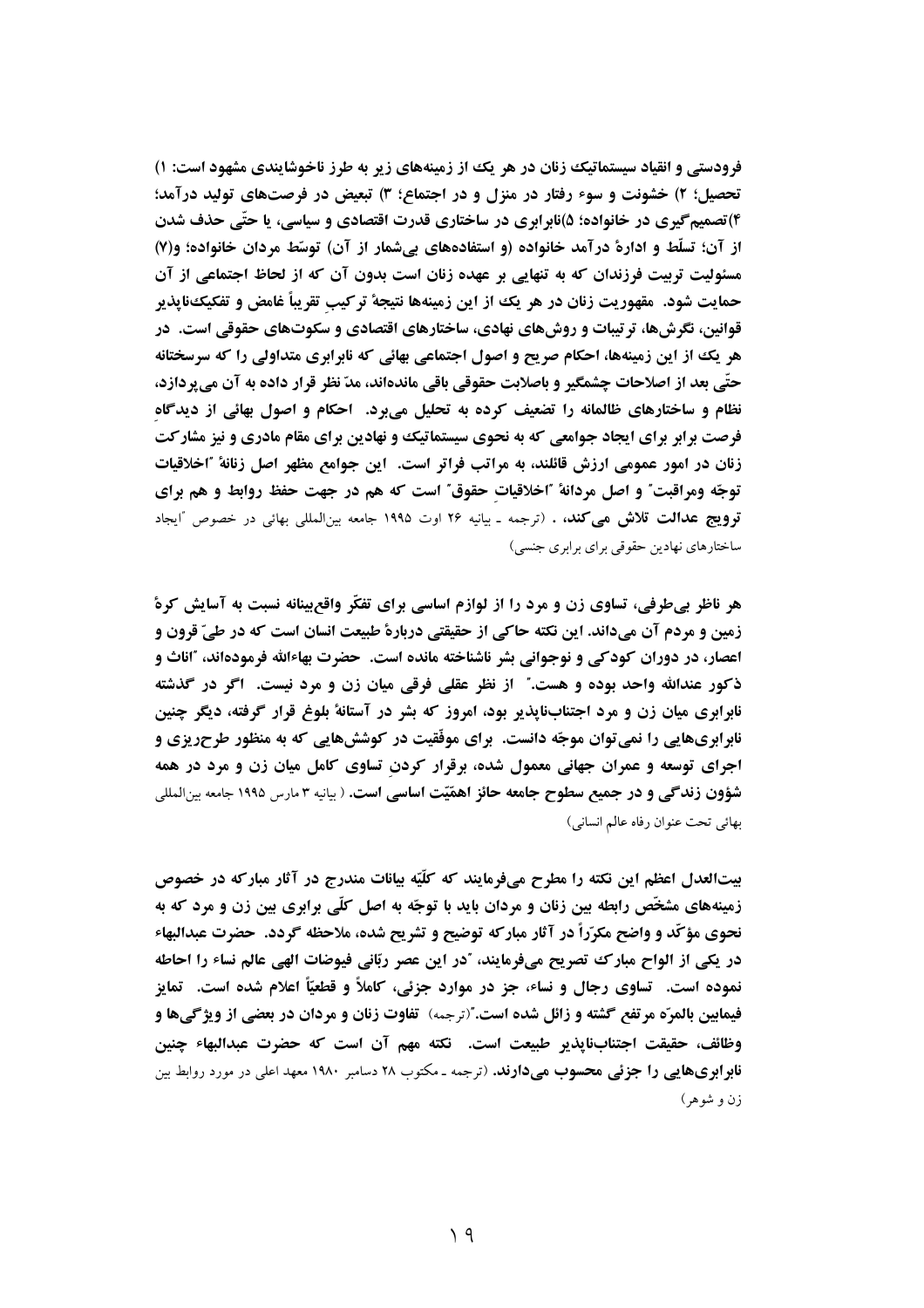فرودستی و انقیاد سیستماتیک زنان در هر یک از زمینههای زیر به طرز ناخوشایندی مشهود است: ۱) تحصیل؛ ۲) خشونت و سوء رفتار در منزل و در اجتماع؛ ۳) تبعیض در فرصتهای تولید درآمد؛ ۴)تصمیمگیری در خانواده؛ ۵)نابرابری در ساختاری قدرت اقتصادی و سیاسی، یا حتّی حذف شدن از آن؛ تسلُّط و ادارهٔ درآمد خانواده (و استفادههای بیشمار از آن) توسُّط مردان خانواده؛ و(۷) مسئولیت تربیت فرزندان که به تنهایی بر عهده زنان است بدون آن که از لحاظ اجتماعی از آن حمايت شود. مقهوريت زنان در هر يك از اين زمينهها نتيجهٔ تركيب تقريباً غامض و تفكيكنايذير قوانین، نگرشها، ترتیبات و روشهای نهادی، ساختارهای اقتصادی و سکوتهای حقوقی است. در هر یک از این زمینهها، احکام صریح و اصول اجتماعی بهائی که نابرابری متداولی را که سرسختانه حتّى بعد از اصلاحات چشمگير و باصلابت حقوقي باقي ماندهاند، مدّ نظر قرار داده به آن مي پردازد، نظام و ساختارهای ظالمانه را تضعیف کرده به تحلیل می برد. احکام و اصول بهائی از دیدگاه فرصت برابر برای ایجاد جوامعی که به نحوی سیستماتیک و نهادین برای مقام مادری و نیز مشارکت زنان در امور عمومی ارزش قائلند، به مراتب فراتر است. این جوامع مظهر اصل زنانهٔ "اخلاقیات توجّه ومراقبت ؒ و اصل مردانهٔ 'اخلاقیات حقوق ؒ است که هم در جهت حفظ روابط و هم برای قو**ويج عدالت تلاش مي كند، .** (ترجمه ـ بيانيه ٢۶ اوت ١٩٩۵ جامعه بين|لملل<sub>ي</sub> بهائي در خصوص "ايجاد ساختارهای نهادین حقوقی برای برابری جنسی)

هر ناظر بی طرفی، تساوی زن و مرد را از لوازم اساسی برای تفکّر واقع بینانه نسبت به آسایش کرهٔ زمین و مردم آن میداند. این نکته حاکی از حقیقتی دربارهٔ طبیعت انسان است که در طیّ قرون و اعصار، در دوران کودکی و نوجوانی بشر ناشناخته مانده است. حضرت بهاءالله فرمودهاند، "اناث و ذکور عندالله واحد بوده و هست." از نظر عقلی فرقی میان زن و مرد نیست. اگر در گذشته نابرابری میان زن و مرد اجتنابنایذیر بود، امروز که بشر در آستانهٔ بلوغ قرار گرفته، دیگر چنین ناہ ابریھایی را نمی توان موجّه دانست. برای موفّقیت در کوشش هایی که به منظور طرحریزی و آجرای توسعه و عمران جهانی معمول شده، برقرار کردن تساوی کامل میان زن و مرد در همه شؤون زندگی و در جمیع سطوح جامعه حائز اهمّیّت اساسی است. ( بیانیه ۳ مارس ۱۹۹۵ جامعه بین المللی بهائي تحت عنوان رفاه عالم انساني)

بيت|لعدل اعظم اين نكته را مطرح ميفرمايند كه كلَّيّه بيانات مندرج در آثار مباركه در خصوص زمینههای مشخَّص رابطه بین زنان و مردان باید با توجّه به اصل کلّی برابری بین زن و مرد که به نحوی مؤکّد و واضح مکرّراً در آثار مبارکه توضیح و تشریح شده، ملاحظه گردد. حضرت عبدالبهاء در یکی از الواح مبارک تصریح می،فرمایند، "در این عصر ربّانی فیوضات الهی عالم نساء را احاطه نموده است. تساوی رجال و نساء، جز در موارد جزئی، کاملاً و قطعیّاً اعلام شده است. تمایز فيمايين بالمرّه مرتفع گشته و زائل شده است."(ترجمه) تفاوت زنان و مردان در بعضي از ويژگيها و وظائف، حقيقت اجتنابنايذير طبيعت است. نكته مهم آن است كه حضرت عبدالبهاء چنين <mark>نابر ابریهایی را جزئی محسوب میدارند.</mark> (ترجمه ـ مکتوب ۲۸ دسامبر ۱۹۸۰ معهد اعلی در مورد روابط بین زن و شوهر)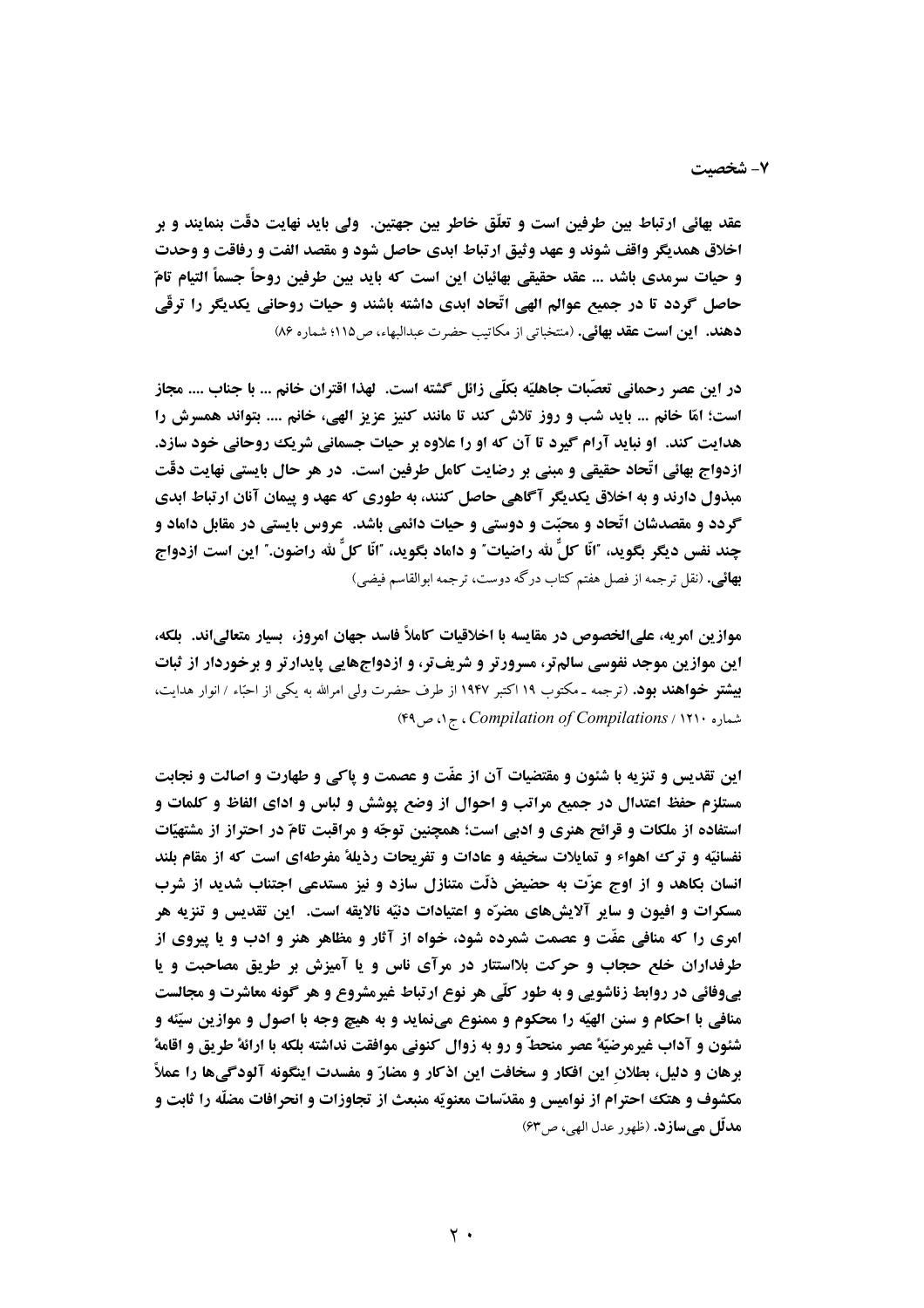عقد بهائي ارتباط بين طرفين است و تعلَّق خاطر بين جهتين. ولي بايد نهايت دقَّت بنمايند و بر اخلاق همديگر واقف شوند و عهد وثيق ارتباط ابدي حاصل شود و مقصد الفت و رفاقت و وحدت و حيات سرمدي باشد ... عقد حقيقي بهائيان اين است كه بايد بين طرفين روحاً جسماً التيام تامّ حاصل گردد تا در جمیع عوالم الهی اتّحاد ابدی داشته باشند و حیات روحانی یکدیگر را ترقّی دهند. این است عقد بهائی. (منتخباتی از مکاتیب حضرت عبدالبهاء، ص١١٥؛ شماره ٨۶)

در این عصر رحمانی تعصّبات جاهلیّه بِکلّی زائل گشته است. لهذا اقتران خانم ... با جناب .... مجاز است؛ امّا خانم ... بايد شب و روز تلاش كند تا مانند كنيز عزيز الهي، خانم .... بتواند همسرش را هدایت کند. او نباید آرام گیرد تا آن که او را علاوه بر حیات جسمانی شریک روحانی خود سازد. ازدواج بهائی اتّحاد حقیقی و مبنی بر رضایت کامل طرفین است. در هر حال بایستی نهایت دقّت مبذول دارند و به اخلاق یکدیگر آگاهی حاصل کنند، به طوری که عهد و پیمان آنان ارتباط ابدی گردد و مقصدشان اتّحاد و محبّت و دوستی و حیات دائمی باشد. ً عروس بایستی در مقابل داماد و چند نفس ديگر بگويد، "انّا كلَّ لله راضيات" و داماد بگويد، "انّا كلَّ لله راضون." اين است ازدواج **بهائی.** (نقل ترجمه از فصل هفتم کتاب درگه دوست، ترجمه ابوالقاسم فیضی)

موازين امريه، علىالخصوص در مقايسه با اخلاقيات كاملاً فاسد جهان امروز، بسيار متعالىاند. بلكه، این موازین موجد نفوسی سالم تر، مسرورتر و شریف تر، و ازدواجهایی پایدارتر و برخوردار از ثبات **بیشتو خواهند بود.** (ترجمه ـ مکتوب ۱۹ اکتبر ۱۹۴۷ از طرف حضرت ولی امرالله به یکی از احبّاء / انوار هدایت، شماره ۲۹۰، Compilation of Compilations، ج ۱، ص ۴۹)

این تقدیس و تنزیه با شئون و مقتضیات آن از عفّت و عصمت و پاکی و طهارت و اصالت و نجابت مستلزم حفظ اعتدال در جمیع مراتب و احوال از وضع پوشش و لباس و ادای الفاظ و کلمات و استفاده از ملکات و قرائح هنری و ادبی است؛ همچنین توجّه و مراقبت تامّ در احتراز از مشتهیّات نفسانیّه و ترک اهواء و تمایلات سخیفه و عادات و تفریحات رذیلهٔ مفرطهای است که از مقام بلند انسان بکاهد و از اوج عزّت به حضیض ذلّت متنازل سازد و نیز مستدعی اجتناب شدید از شرب مسكرات و افيون و ساير آلايشهاي مضرّه و اعتيادات دنيّه نالايقه است. اين تقديس و تنزيه هر امری را که منافی عفّت و عصمت شمرده شود، خواه از آثار و مظاهر هنر و ادب و یا پیروی از طرفداران خلع حجاب و حرکت بلااستتار در مرآی ناس و یا آمیزش بر طریق مصاحبت و یا بیوفائی در روابط زناشویی و به طور کلّی هر نوع ارتباط غیرمشروع و هر گونه معاشرت و مجالست منافی با احکام و سنن الهیّه را محکوم و ممنوع مینماید و به هیچ وجه با اصول و موازین سیّئه و شئون و آداب غیرمرضیّهٔ عصر منحطّ و رو به زوال کنونی موافقت نداشته بلکه با ارائهٔ طریق و اقامهٔ برهان و دلیل، بطلان این افکار و سخافت این اذکار و مضارّ و مفسدت اینگونه آلودگیها را عملاً مکشوف و هتک احترام از نوامیس و مقدّسات معنویّه منبعث از تجاوزات و انحرافات مضلّه را ثابت و ه**دلّل هي سازد.** (ظهور عدل الهي، ص٣٣)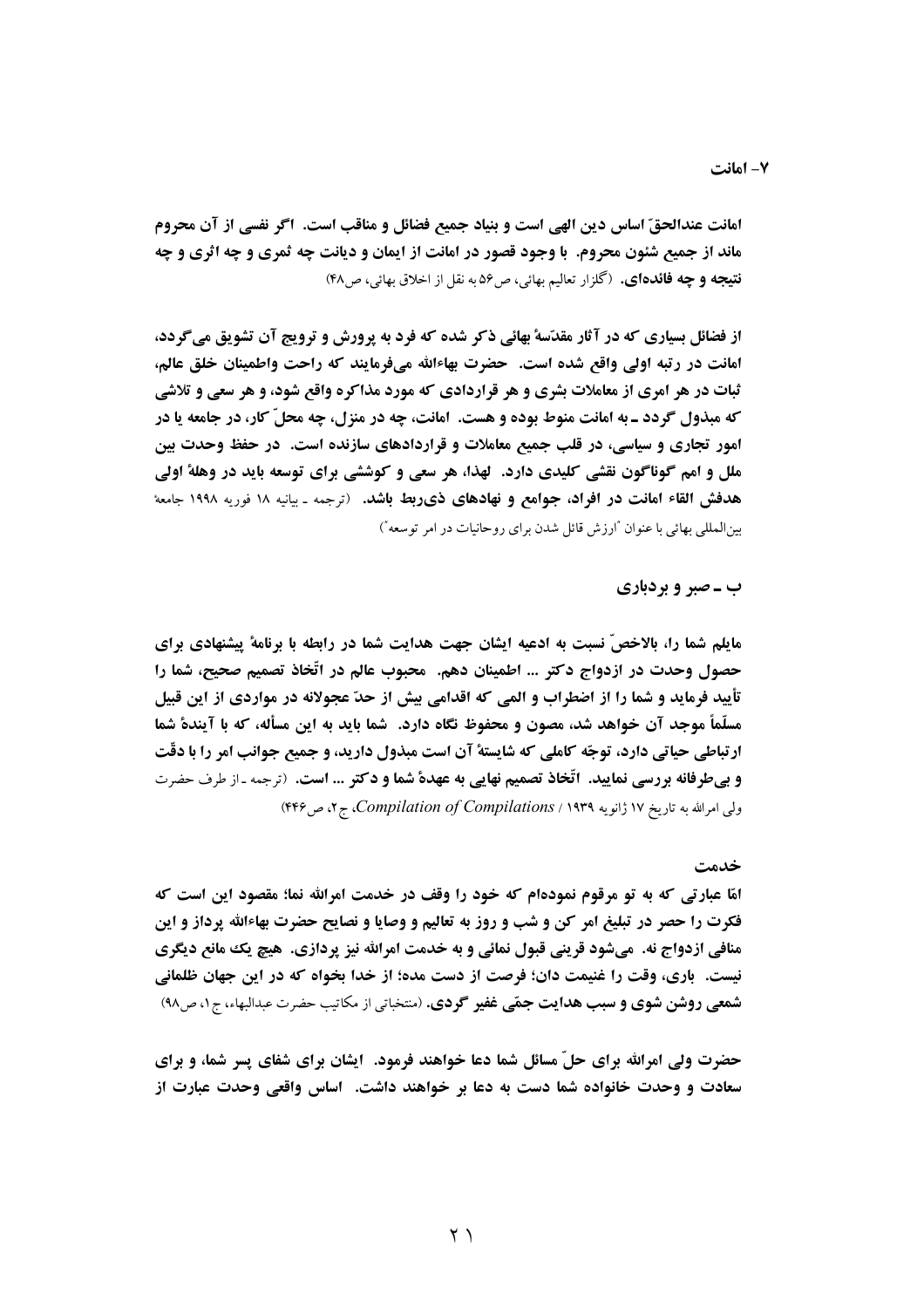امانت عندالحقّ اساس دين الهي است و بنياد جميع فضائل و مناقب است. اگر نفسي از آن محروم ماند از جمیع شئون محروم. با وجود قصور در امانت از ایمان و دیانت چه ثمری و چه اثری و چه **نتيجه و چه فائدهاي.** (گلزار تعاليم بهائي، ص26 به نقل از اخلاق بهائي، ص۴۸)

از فضائل بسیاری که در آثار مقدّسهٔ بهائی ذکر شده که فرد به یرورش و ترویج آن تشویق می گردد، امانت در رتبه اولی واقع شده است. حضرت بهاءالله میفرمایند که راحت واطمینان خلق عالم، ثبات در هر امری از معاملات بشری و هر قراردادی که مورد مذاکره واقع شود، و هر سعی و تلاشی که مبذول گردد ـ به امانت منوط بوده و هست. امانت، چه در منزل، چه محلّ کار، در جامعه یا در امور تجاری و سیاسی، در قلب جمیع معاملات و قراردادهای سازنده است. در حفظ وحدت بین ملل و امم گوناگون نقشی کلیدی دارد. گهذا، هر سعی و کوششی برای توسعه باید در وهلهٔ اولی هدفش القاء امانت در افراد، جوامع و نهادهای ذی بط باشد. (ترجمه ـ بیانیه ۱۸ فوریه ۱۹۹۸ جامعهٔ بین المللی بهائی با عنوان "ارزش قائل شدن برای روحانیات در امر توسعه")

## ب ـ صبر و بردباری

مایلم شما را، بالاخصّ نسبت به ادعیه ایشان جهت هدایت شما در رابطه با برنامهٔ پیشنهادی برای حصول وحدت در ازدواج دکتر ... اطمینان دهم. ً محبوب عالم در اتَّخاذ تصمیم صحیح، شما را تأیید فرماید و شما را از اضطراب و المی که اقدامی بیش از حدّ عجولانه در مواردی از این قبیل مسلَّماً موجد آن خواهد شد، مصون و محفوظ نگاه دارد. شما باید به این مسأله، که با آیندهٔ شما ارتباطی حیاتی دارد، توجّه کاملی که شایستهٔ آن است مبذول دارید، و جمیع جوانب امر را با دقّت **و بی طرفانه بررسی نمایید. اتّخاذ تصمیم نهایی به عهدهٔ شما و دکتر ... است.** (ترجمه ـ از طرف حضرت ولی امرالله به تاریخ ۱۷ ژانویه Compilation of Compilations / ۱۹۳۹، ص۴۴۶). ج۲، ص۴۴۶

#### خدمت

امّا عبارتی که به تو مرقوم نمودهام که خود را وقف در خدمت امرالله نما؛ مقصود این است که فکرت را حصر در تبلیغ امر کن و شب و روز به تعالیم و وصایا و نصایح حضرت بهاءالله پرداز و این منافي ازدواج نه. ميشود قريني قبول نمائي و به خدمت امرالله نيز پردازي. هيچ يک مانع ديگري نیست. باری، وقت را غنیمت دان؛ فرصت از دست مده؛ از خدا بخواه که در این جهان ظلمانی شمعی روشن شوی و سبب هدایت جمّی غفیر گردی. (منتخباتی از مکاتیب حضرت عبدالبهاء، ج ۱، ص۹۸)

حضرت ولی امرالله برای حلّ مسائل شما دعا خواهند فرمود. آیشان برای شفای پسر شما، و برای سعادت و وحدت خانواده شما دست به دعا بر خواهند داشت. اساس واقعی وحدت عبارت از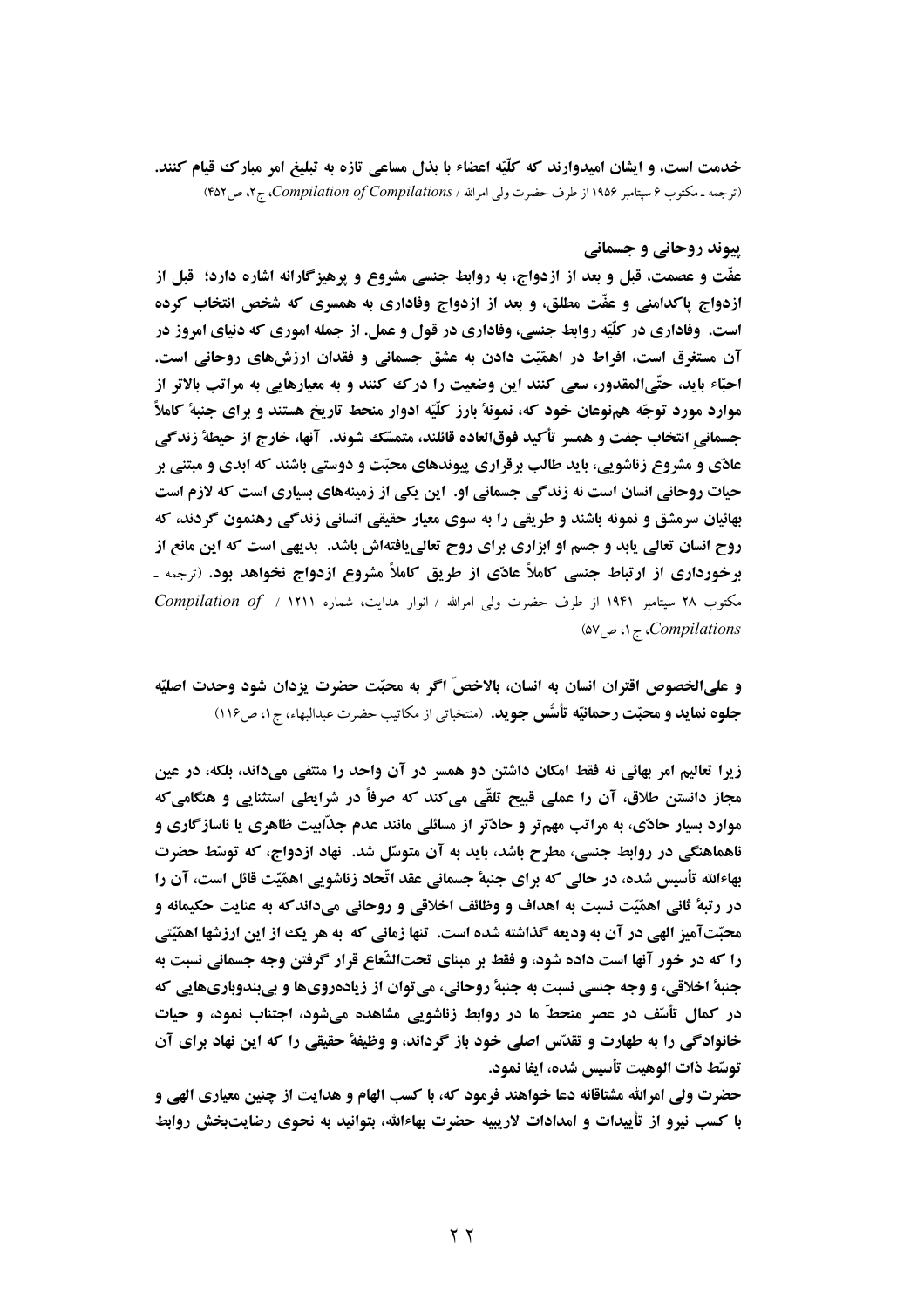خدمت است، و ایشان امیدوارند که کلّیّه اعضاء با بذل مساعی تازه به تبلیغ امر مبارک قیام کنند. (ترجمه ـ مكتوب ۶ سپتامبر ۱۹۵۶ از طرف حضرت ولي امرالله / Compilation of Compilations، ج۲، ص ۴۵۲)

# **پیوند روحانی و جسمانی**

عفَّت و عصمت، قبل و بعد از ازدواج، به روابط جنسی مشروع و پرهیزگارانه اشاره دارد؛ قبل از ازدواج یا کدامنی و عفّت مطلق، و بعد از ازدواج وفاداری به همسری که شخص انتخاب کرده است. وفاداری در کلّیّه روابط جنسی، وفاداری در قول و عمل. از جمله اموری که دنیای امروز در آن مستغرق است، افراط در اهمّیّت دادن به عشق جسمانی و فقدان ارزشهای روحانی است. احبّاء بايد، حتّىالمقدور، سعى كنند اين وضعيت را درك كنند و به معيارهايي به مراتب بالاتر از موارد مورد توجّه همنوعان خود که، نمونهٔ بارز کلّیّه ادوار منحط تاریخ هستند و برای جنبهٔ کاملاً جسماني انتخاب جفت و همسر تأكيد فوقالعاده قائلند، متمسّك شوند. آنها، خارج از حيطةً زندگي عادّی و مشروع زناشویی، باید طالب برقراری پیوندهای محبّت و دوستی باشند که ابدی و مبتنی بر حیات روحانی انسان است نه زندگی جسمانی او. این یکی از زمینههای بسیاری است که لازم است بهائیان سرمشق و نمونه باشند و طریقی را به سوی معیار حقیقی انسانی زندگی رهنمون گردند، که روح انسان تعالی یابد و جسم او ابزاری برای روح تعالی یافتهاش باشد. بدیهی است که این مانع از برخورداری از ارتباط جنسی کاملاً عادّی از طریق کاملاً مشروع ازدواج نخواهد بود. (ترجمه ـ مكتوب ٢٨ سپتامبر ١٩۴١ از طرف حضرت ولي امرالله / انوار هدايت، شماره ١٢١١ / Compilation of / ١٢١١ (۵۷ Compilations)، ج ۱، ص ۵۷)

و على الخصوص اقتران انسان به انسان، بالاخصّ اگر به محبّت حضرت يزدان شود وحدت اصليّه **جلوه نماید و محبّت رحمانیّه تأسُّس جوید.** (منتخباتی از مکاتیب حضرت عبدالبهاء، ج۱، ص۱۱۶)

زیرا تعالیم امر بهائی نه فقط امکان داشتن دو همسر در آن واحد را منتفی میداند، بلکه، در عین مجاز دانستن طلاق، آن را عملي قبيح تلقّي مي كند كه صرفاً در شرايطي استثنايي و هنگامي كه موارد بسیار حادّی، به مراتب مهمتر و حادّتر از مسائلی مانند عدم جذّابیت ظاهری یا ناسازگاری و ناهماهنگی در روابط جنسی، مطرح باشد، باید به آن متوسّل شد. نهاد ازدواج، که توسّط حضرت بهاءالله تأسیس شده، در حالی که برای جنبهٔ جسمانی عقد اتّحاد زناشویی اهمّیّت قائل است، آن را در رتبهٔ ثانی اهمّیّت نسبت به اهداف و وظائف اخلاقی و روحانی میداند که به عنایت حکیمانه و محبّتآمیز الهی در آن به ودیعه گذاشته شده است. تنها زمانی که به هر یک از این ارزشها اهمّیّتی را که در خور آنها است داده شود، و فقط بر مبنای تحتالشّعاع قرار گرفتن وجه جسمانی نسبت به جنبهٔ اخلاقی، و وجه جنسی نسبت به جنبهٔ روحانی، می توان از زیادهرویها و بیبندوباریهایی که در کمال تأسّف در عصر منحطّ ما در روابط زناشویی مشاهده میشود، اجتناب نمود، و حیات خانوادگی را به طهارت و تقدّس اصلی خود باز گرداند، و وظیفهٔ حقیقی را که این نهاد برای آن توسّط ذات الوهيت تأسيس شده، ايفا نمود.

حضرت ولی امرالله مشتاقانه دعا خواهند فرمود که، با کسب الهام و هدایت از چنین معیاری الهی و با کسب نیرو از تأییدات و امدادات لاریبیه حضرت بهاءالله، بتوانید به نحوی رضایتبخش روابط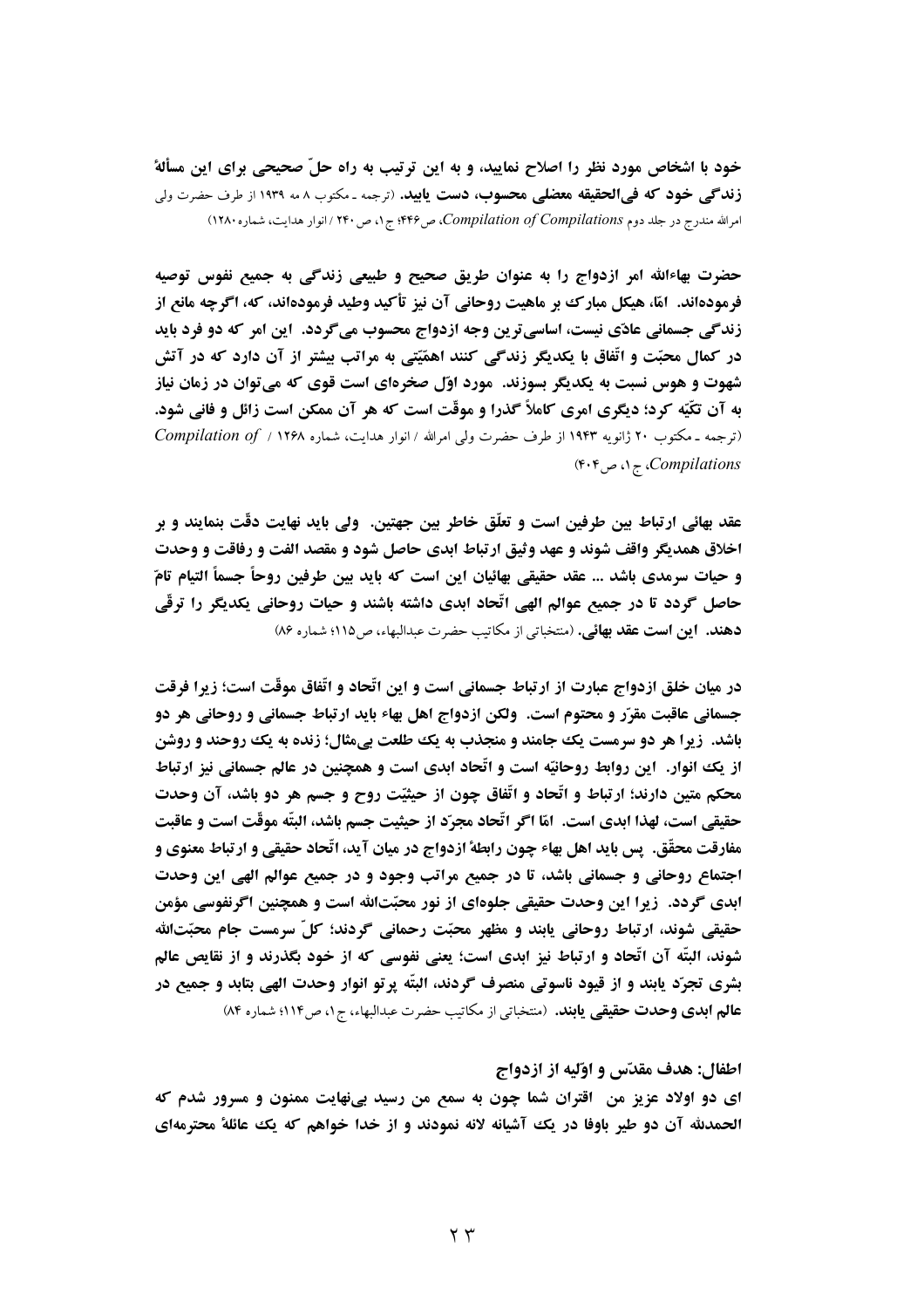خود با اشخاص مورد نظر را اصلاح نمایید، و به این ترتیب به راه حلّ صحیحی برای این مسألهٔ زندگی خود که فی الحقیقه معضلی محسوب، دست یابید. (ترجمه ـ مکتوب ٨ مه ١٩٣٩ از طرف حضرت ولی امرالله مندرج در جلد دوم Compilation of Compilations، ص۴۴۶؛ ج۱، ص۲۴۰ / انوار هدایت، شماره ۱۲۸۰)

حضرت بهاءالله امر ازدواج را به عنوان طریق صحیح و طبیعی زندگی به جمیع نفوس توصیه فرمودهاند. امّا، هیکل مبارک بر ماهیت روحانی آن نیز تأکید وطید فرمودهاند، که، اگرچه مانع از زندگی جسمانی عادّی نیست، اساسی ترین وجه ازدواج محسوب می گردد. این امر که دو فرد باید در کمال محبّت و اتّفاق با یکدیگر زندگی کنند اهمّیّتی به مراتب بیشتر از آن دارد که در آتش شهوت و هوس نسبت به یکدیگر بسوزند. مورد اوّل صخرهای است قوی که میتوان در زمان نیاز به آن تکّیّه کرد؛ دیگری امری کاملاً گذرا و موقّت است که هر آن ممکن است زائل و فانی شود. (ترجمه ـ مكتوب ٢٠ ژانويه ١٩۴٣ از طرف حضرت ولي امرالله / انوار هدايت، شماره ٢٢٩٨ / Compilation of / ١٢۶٨ Compilations، ج۱، ص۴۰۴)

عقد بهائي ارتباط بين طرفين است و تعلَّق خاطر بين جهتين. ولي بايد نهايت دقَّت بنمايند و بر اخلاق همديگر واقف شوند و عهد وثيق ارتباط ابدي حاصل شود و مقصد الفت و رفاقت و وحدت و حيات سرمدي باشد ... عقد حقيقي بهائيان اين است كه بايد بين طرفين روحاً جسماً التيام تامّ حاصل گردد تا در جمیع عوالم الهی اتّحاد ابدی داشته باشند و حیات روحانی یکدیگر را ترقّی دهند. این است عقد بهائی. (منتخباتی از مکاتیب حضرت عبدالبهاء، ص ١١٥؛ شماره ٨۶)

در میان خلق ازدواج عبارت از ارتباط جسمانی است و این اتّحاد و اتّفاق موقّت است؛ زیرا فرقت جسمانی عاقبت مقرّر و محتوم است. ولکن ازدواج اهل بهاء باید ارتباط جسمانی و روحانی هر دو باشد. زیرا هر دو سرمست یک جامند و منجذب به یک طلعت بیمثال؛ زنده به یک روحند و روشن از یک انوار. این روابط روحانیّه است و اتّحاد ابدی است و همچنین در عالم جسمانی نیز ارتباط محکم متین دارند؛ ارتباط و اتّحاد و اتّفاق چون از حیثیّت روح و جسم هر دو باشد، آن وحدت حقيقي است، لهذا ابدي است. امّا اگر اتّحاد مجرّد از حيثيت جسم باشد، البتّه موقّت است و عاقبت مفارقت محقَّق. یس باید اهل بهاء چون رابطهٔ ازدواج در میان آید، اتّحاد حقیقی و ارتباط معنوی و اجتماع روحانی و جسمانی باشد، تا در جمیع مراتب وجود و در جمیع عوالم الهی این وحدت ابدی گردد. زیرا این وحدت حقیقی جلوهای از نور محبّتالله است و همچنین اگرنفوسی مؤمن حقیقی شوند، ارتباط روحانی یابند و مظهر محبّت رحمانی گردند؛ کلّ سرمست جام محبّتالله شوند، البتّه آن اتّحاد و ارتباط نیز ابدی است؛ یعنی نفوسی که از خود بگذرند و از نقایص عالم بشري تجرّد پابند و از قيود ناسوتي منصرف گردند، البتّه پرتو انوار وحدت الهي بتابد و جميع در عالم ابدي وحدت حقيقي يابند. (منتخباتي از مكاتب حضرت عبدالبهاء، ج١، ص١١٤؛ شماره ٨۴)

#### اطفال: هدف مقدّس و اوّليه از ازدواج

ای دو اولاد عزیز من آقترآن شما چون به سمع من رسید بیفهایت ممنون و مسرور شدم که الحمدلله آن دو طیر باوفا در یک آشیانه لانه نمودند و از خدا خواهم که یک عائلهٔ محترمهای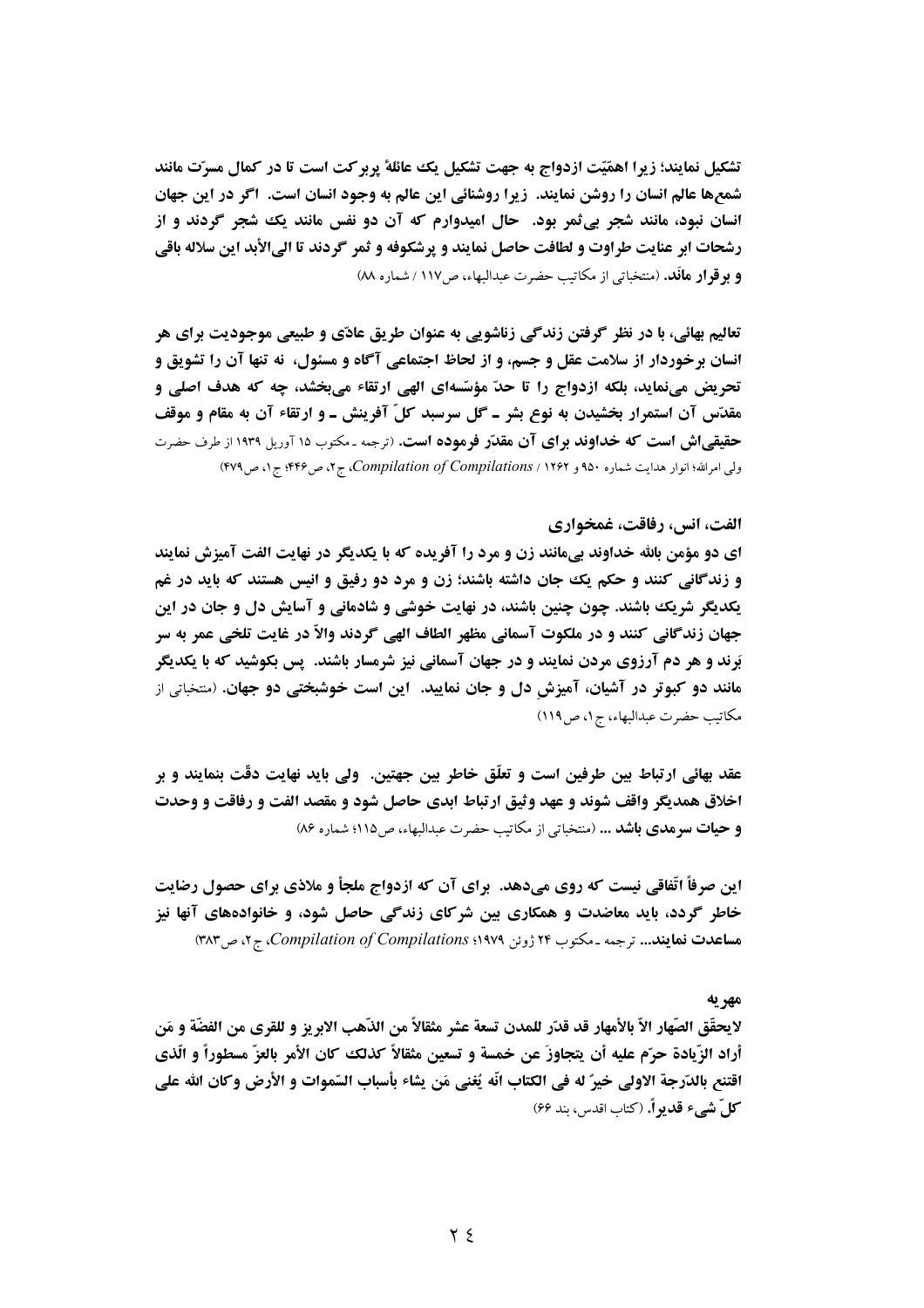تشکیل نمایند؛ زیرا اهمّیّت ازدواج به جهت تشکیل یک عائلهٔ پربر کت است تا در کمال مسرّت مانند شمعها عالم انسان را روشن نمایند. زیرا روشنائی این عالم به وجود انسان است. اگر در این جهان انسان نبود، مانند شجر پی ثمر بود. حال امیدوارم که آن دو نفس مانند یک شجر گردند و از رشحات ابر عنايت طراوت و لطافت حاصل نمايند و پرشكوفه و ثمر گردند تا الىالأبد اين سلاله باقي **و بو قوار مانَد.** (منتخباتی از مکاتیب حضرت عبدالبهاء، ص١١٧ / شماره M)

تعالیم بهائی، با در نظر گرفتن زندگی زناشویی به عنوان طریق عادّی و طبیعی موجودیت برای هر انسان برخوردار از سلامت عقل و جسم، و از لحاظ اجتماعی آگاه و مسئول، نه تنها آن را تشویق و تحریض مے،نماید، بلکه ازدواج را تا حدّ مؤسّسهای الهی ارتقاء میبخشد، چه که هدف اصلی و مقدَّس آن استمرار بخشیدن به نوع بشر ـ گل سرسبد کلّ آفرینش ـ و ارتقاء آن به مقام و موقف حقیقی اش است که خداوند برای آن مقدّر فرموده است. (ترجمه ـ مکتوب ۱۵ آوریل ۱۹۳۹ از طرف حضرت ولی امرالله؛ انوار هدایت شماره ۹۵۰ و ۴۷۹/ Compilation of Compilations، ج۲، ص۴۴۶؛ ج۱، ص۴۷۹)

#### الفت، انس، رفاقت، غمخواري

اي دو مؤمن بالله خداوند يي،مانند زن و مرد را آفريده كه با يكديگر در نهايت الفت آميزش نمايند و زندگانی کنند و حکم یک جان داشته باشند؛ زن و مرد دو رفیق و انیس هستند که باید در غم یکدیگر شریک باشند. چون چنین باشند، در نهایت خوشی و شادمانی و آسایش دل و جان در این جهان زندگانی کنند و در ملکوت آسمانی مظهر الطاف الهی گردند والاّ در غایت تلخی عمر به سر بَرند و هر دم آرزوی مردن نمایند و در جهان آسمانی نیز شرمسار باشند. پس بکوشید که با یکدیگر مانند دو کبوتر در آشیان، آمیزش دل و جان نمایید. آین است خوشبختی دو جهان. (منتخباتی از مكاتيب حضرت عبدالبهاء، ج ١، ص ١١٩)

عقد بهائی ارتباط بین طرفین است و تعلُّق خاطر بین جهتین. ۖ ولی باید نهایت دقَّت بنمایند و بر اخلاق همدیگر واقف شوند و عهد وثیق ارتباط ابدی حاصل شود و مقصد الفت و رفاقت و وحدت و حیات سومدی باشد ... (منتخباتی از مکاتیب حضرت عبدالبهاء، ص ١١٥؛ شماره ٨۶)

این صرفاً اتّفاقی نیست که روی میدهد. برای آن که ازدواج ملجأ و ملاذی برای حصول رضایت خاطر گردد، باید معاضدت و همکاری بین شرکای زندگی حاصل شود، و خانوادههای آنها نیز هساعدت نمایند... ترجمه ـ مكتوب ۲۴ ژوئن Compilation of Compilations : ۹۷۹. ج ۲، ص ۳۸۳)

#### مهر به

لايحقَّق الصَّهار الاَّ بالأمهار قد قدَّر للمدن تسعة عشر مثقالاً من الذَّهب الابريز و للقرى من الفضَّة و مَن أراد الزّيادة حرّم عليه أن يتجاوزَ عن خمسة و تسعين مثقالاً كذلك كان الأمر بالعزّ مسطوراً و الّذي اقتنع بالدَّرجة الاولى خيرٌ له في الكتاب انَّه يُغني مَن يشاء بأسباب السَّموات و الأرض وكان الله على كلّ شيء قديو أ. (كتاب اقدس، بند 69)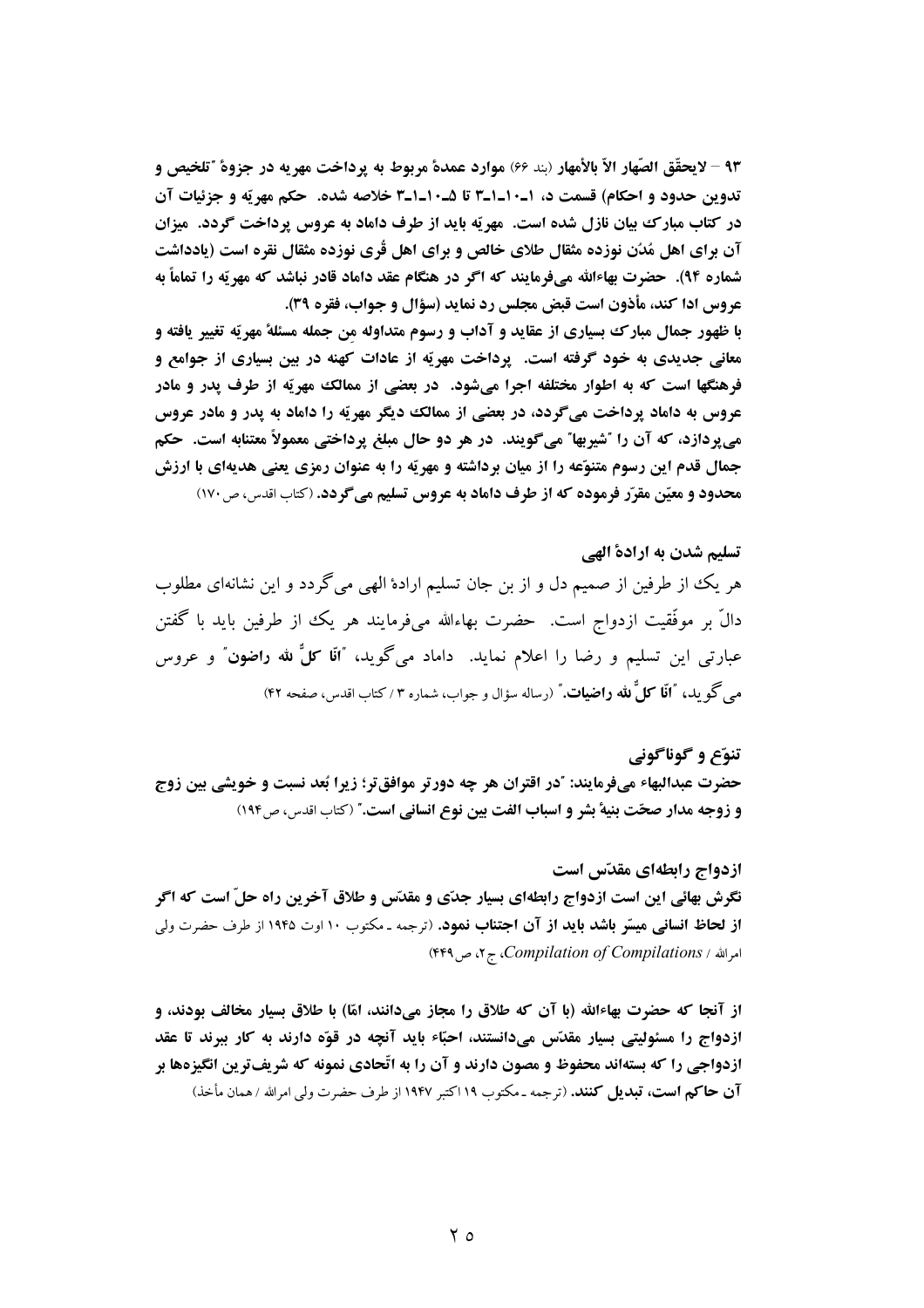٩٣ - لايحقَّق الصَّهار الاَّ بالأمهار (بند 66) موارد عمدة مربوط به يرداخت مهريه در جزوة "تلخيص و تدوين حدود و احكام) قسمت د، ١-١٠-٣١ تا ١٠-١-٣ خلاصه شده. حكم مهريّه و جزئيات آن در کتاب مبارک بیان نازل شده است. مهریّه باید از طرف داماد به عروس پرداخت گردد. میزان آن برای اهل مُدُن نوزده مثقال طلای خالص و برای اهل قُری نوزده مثقال نقره است (یادداشت شماره ۹۴). حضرت بهاءالله میفرمایند که اگر در هنگام عقد داماد قادر نباشد که مهریّه را تماماً به عروس ادا كند، مأذون است قبض مجلس رد نمايد (سؤال و جواب، فقره 39).

با ظهور جمال مبارك بسياري از عقايد و آداب و رسوم متداوله من جمله مسئلة مهريّه تغيير يافته و معانی جدیدی به خود گرفته است. پرداخت مهریّه از عادات کهنه در بین بسیاری از جوامع و فرهنگها است که به اطوار مختلفه اجرا می شود. در بعضی از ممالک مهریّه از طرف پدر و مادر عروس به داماد پرداخت میگردد، در بعضی از ممالک دیگر مهریّه را داماد به پدر و مادر عروس مي پردازد، كه آن را "شيربها" مي گويند. در هر دو حال مبلغ پرداختي معمولاً معتنابه است. حكم جمال قدم این رسوم متنوّعه را از میان برداشته و مهریّه را به عنوان رمزی یعنی هدیهای با ارزش محدود و معیّن مقرّر فرموده که از طرف داماد به عروس تسلیم میگردد. (کتاب اقدس، ص۱۷۰)

# تسلیم شدن به ارادهٔ الهی هر يك از طرفين از صميم دل و از بن جان تسليم ارادهٔ الهي ميگردد و اين نشانهاي مطلوب دالٌ بر موفَّقیت ازدواج است. حضرت بهاءالله میفرمایند هر یک از طرفین باید با گفتن عبارتی این تسلیم و رضا را اعلام نماید. داماد میگوید، "آ**نا کلٌ لله راضون**" و عروس می گو ید، **"اَنّا کلُّ لله راضیات.**" (رساله سؤال و جواب، شماره ۳ / کتاب اقدس، صفحه ۴۲)

### تنوّع و گوناگوني

حضرت عبدالبهاء میفرمایند: "در اقتران هر چه دورتر موافقتر؛ زیرا بُعد نسبت و خویشی بین زوج و زوجه مدار صحّت بنيهٔ بشر و اسباب الفت بين نوع انساني است." (كتاب اقدس، ص١٩٤)

## ازدواج رابطهاي مقدّس است

نگرش بهائی این است ازدواج رابطهای بسیار جدّی و مقدّس و طلاق آخرین راه حلّ است که اگر **از لحاظ انسانی میسّر باشد باید از آن اجتناب نمود**. (ترجمه ـ مکتوب ١٠ اوت ١٩۴۵ از طرف حضرت ولی امرالله / Compilation of Compilations، ج ۲، ص ۴۴۹)

از آنجا که حضرت بهاءالله (با آن که طلاق را مجاز میدانند، امّا) با طلاق بسیار مخالف بودند، و آزدواج را مسئولیتی بسیار مقدّس میدانستند، احبّاء باید آنچه در قوّه دارند به کار ببرند تا عقد ازدواجی را که بستهاند محفوظ و مصون دارند و آن را به اتّحادی نمونه که شریفترین انگیزهها بر **آن حاکم است، تبدیل کنند.** (ترجمه ـ مکتوب ۱۹ اکتبر ۱۹۴۷ از طرف حضرت ولی امرالله / همان مأخذ)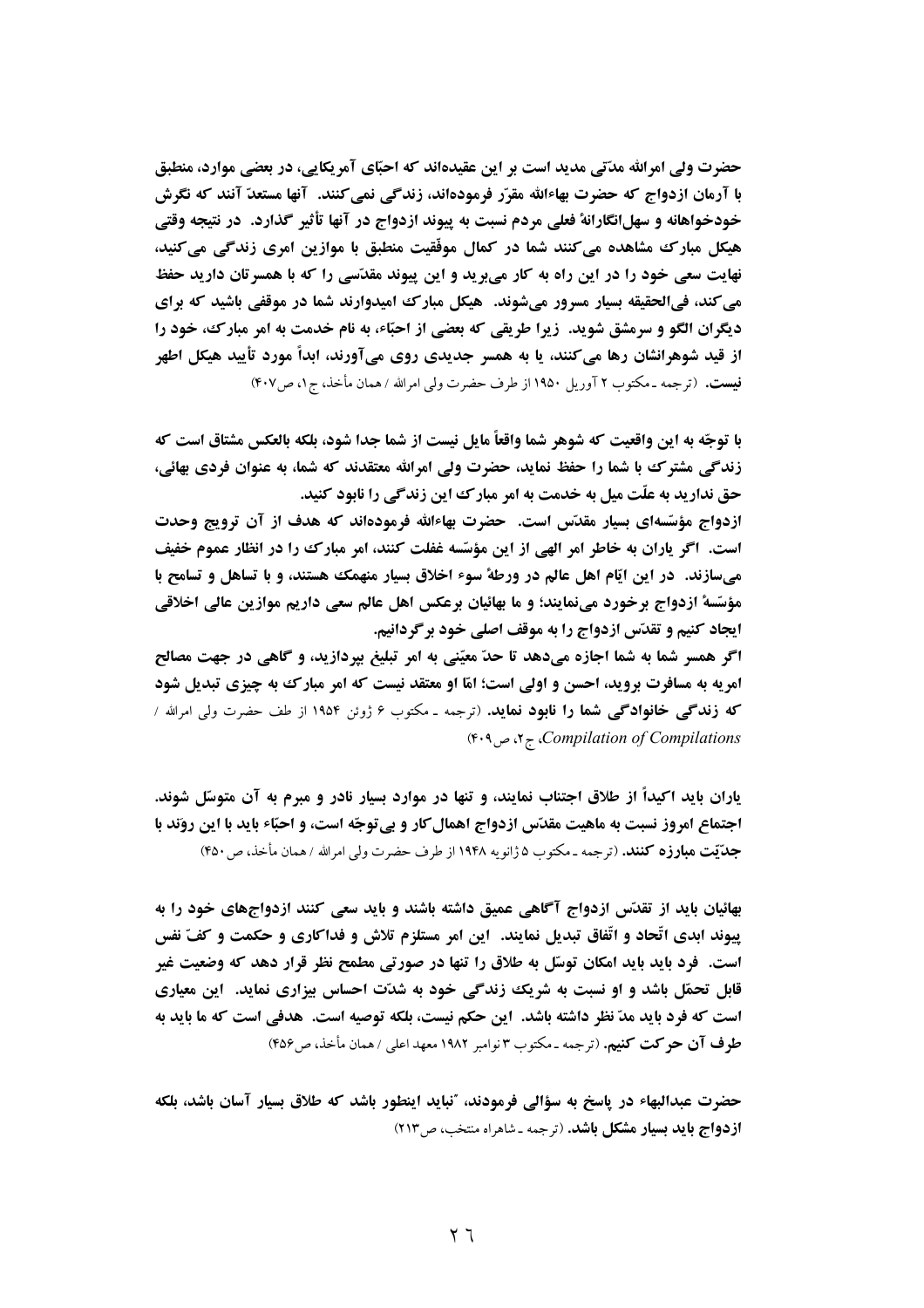حضرت ولي امرالله مدّتي مديد است بر اين عقيدهاند كه احبّاي آمريكايي، در بعضي موارد، منطبق با آرمان ازدواج که حضرت بهاءالله مقرّر فرمودهاند، زندگی نمی کنند. آنها مستعدّ آنند که نگرش خودخواهانه و سهلانگارانهٔ فعلی مردم نسبت به پیوند ازدواج در آنها تأثیر گذارد. در نتیجه وقتی هیکل مبارک مشاهده می کنند شما در کمال موفّقیت منطبق با موازین امری زندگی می کنید، نهایت سعی خود را در این راه به کار میبرید و این پیوند مقدّسی را که با همسرتان دارید حفظ می کند، فیالحقیقه بسیار مسرور میشوند. هیکل مبارک امیدوارند شما در موقفی باشید که برای دیگران الگو و سرمشق شوید. زیرا طریقی که بعضی از احبّاء، به نام خدمت به امر مبارک، خود را از قید شوهرانشان رها می کنند، یا به همسر جدیدی روی میآورند، ابدأ مورد تأیید هیکل اطهر فیست. (ترجمه ـ مکتوب ۲ آوریل ۱۹۵۰ از طرف حضرت ولی امرالله / همان مأخذ، ج ۱، ص۴۰۷)

با توجّه به این واقعیت که شوهر شما واقعاً مایل نیست از شما جدا شود، بلکه بالعکس مشتاق است که زندگی مشترک با شما را حفظ نماید، حضرت ولی امرالله معتقدند که شما، به عنوان فردی بهائی، حق ندارید به علّت میل به خدمت به امر مبارک این زندگی را نابود کنید.

ازدواج مؤسَّسهای بسیار مقدَّس است. حضرت بهاءالله فرمودهاند که هدف از آن ترویج وحدت است. اگر یاران به خاطر امر الهی از این مؤسّسه غفلت کنند، امر مبارک را در انظار عموم خفیف میسازند. ً در این ایّام اهل عالم در ورطهٔ سوء اخلاق بسیار منهمک هستند، و با تساهل و تسامح با مؤسَّسةُ ازدواج برخورد مينمايند؛ و ما بهائيان برعكس اهل عالم سعى داريم موازين عالى اخلاقى **ایجاد کنیم و تقدّس ازدواج را به موقف اصلی خود برگردانیم.** 

اگر همسر شما به شما اجازه میدهد تا حدّ معیّنی به امر تبلیغ بیردازید، و گاهی در جهت مصالح امریه به مسافرت بروید، احسن و اولی است؛ امّا او معتقد نیست که امر مبارک به چیزی تبدیل شود که **زندگی خانوادگی شما را نابود نماید.** (ترجمه ـ مکتوب ۶ ژوئن ۱۹۵۴ از طف حضرت ول<sub>ی</sub> امرالله / Compilation of Compilations، ج ۲، ص ۴۰۹)

یاران باید اکیداً از طلاق اجتناب نمایند، و تنها در موارد بسیار نادر و مبرم به آن متوسّل شوند. اجتماع امروز نسبت به ماهیت مقدّس ازدواج اهمال کار و بی توجّه است، و احبّاء باید با این روَند با جدّتيت مبارزه كنند. (ترجمه ـ مكتوب ۵ ژانويه ۱۹۴۸ از طرف حضرت ولي امرالله / همان مأخذ، ص ۴۵۰)

بهائیان باید از تقدّس ازدواج آگاهی عمیق داشته باشند و باید سعی کنند ازدواجهای خود را به پيوند ابدي اتّحاد و اتّفاق تبديل نمايند. اين امر مستلزم تلاش و فداكاري و حكمت و كفّ نفس است. ً فرد باید باید امکان توسّل به طلاق را تنها در صورتی مطمح نظر قرار دهد که وضعیت غیر قابل تحمّل باشد و او نسبت به شریک زندگی خود به شدّت احساس بیزاری نماید. آین معیاری است که فرد باید مدّ نظر داشته باشد. این حکم نیست، بلکه توصیه است. هدفی است که ما باید به طوف آن حوكت كنيم. (ترجمه ـ مكتوب ٣ نوامبر ١٩٨٢ معهد اعلى / همان مأخذ، ص4۵۶)

حضرت عبدالبهاء در پاسخ به سؤالی فرمودند، "نباید اینطور باشد که طلاق بسیار آسان باشد، بلکه **ازدواج باید بسیار مشکل باشد.** (ترجمه ـ شاهراه منتخب، ص۲۱۳)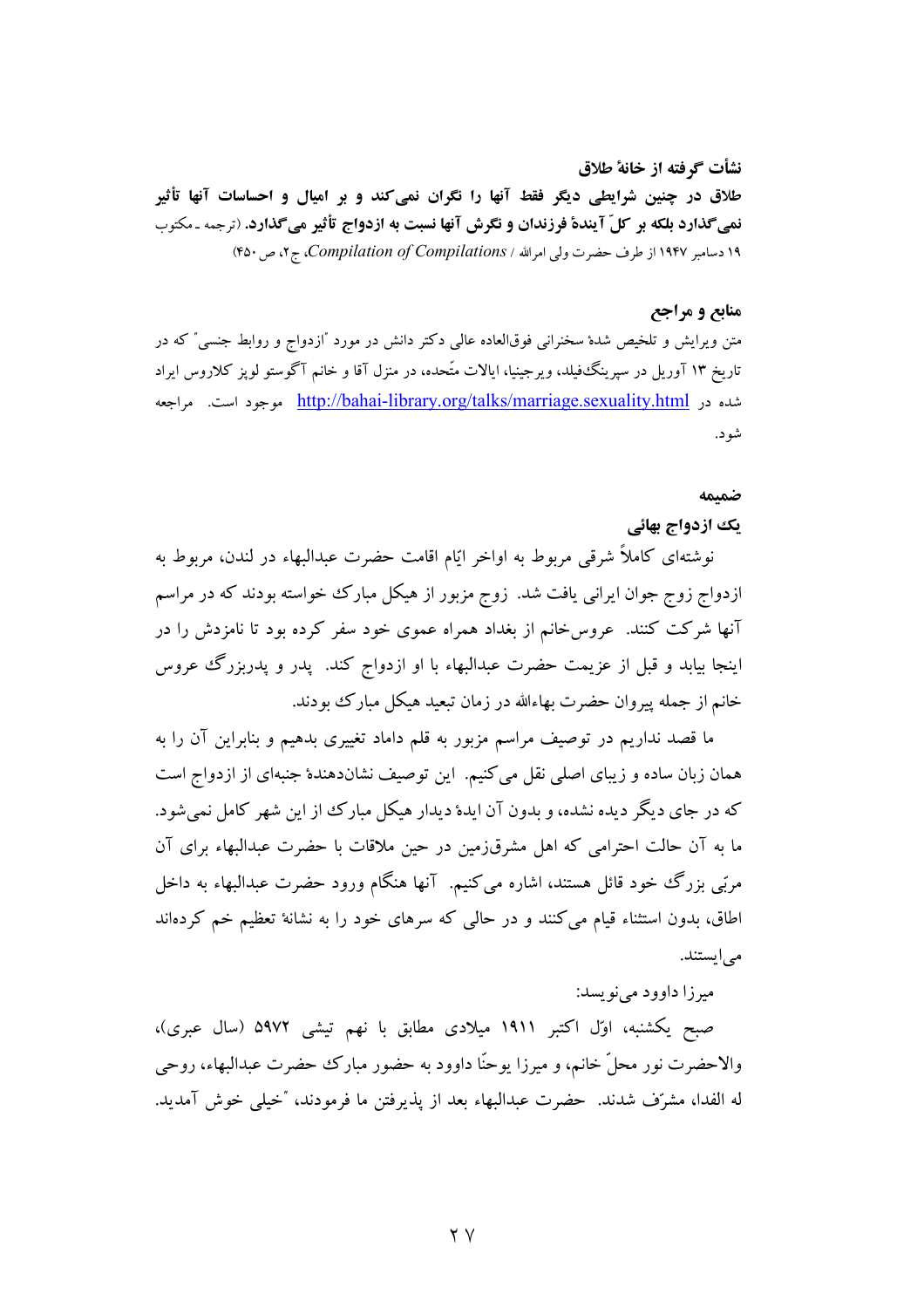نشأت گرفته از خانهٔ طلاق طلاق در چنین شرایطی دیگر فقط آنها را نگران نمی کند و بر امیال و احساسات آنها تأثیر نمیگذارد بلکه بر کلّ آیندهٔ فرزندان و نگرش آنها نسبت به ازدواج تأثیر میگذارد. (ترجمه ـ مکتوب ١٩ دسامبر ١٩۴٧ از طرف حضرت ولي امرالله / Compilation of Compilations، ج ٢، ص ۴٥٠)

# منابع و مراجع

متن ویرایش و تلخیص شدهٔ سخنرانی فوقالعاده عالی دکتر دانش در مورد "ازدواج و روابط جنسی" که در تاریخ ۱۳ آوریل در سیرینگ فیلد، ویرجینیا، ایالات متّحده، در منزل آقا و خانم آگوستو لویز کلاروس ایراد شده در http://bahai-library.org/talks/marriage.sexuality.html موجود است. مراجعه شو د.

#### ضمتمه

# یک ازدواج بهائی

نوشتهای کاملاً شرقی مربوط به اواخر ایّام اقامت حضرت عبدالبهاء در لندن، مربوط به ازدواج زوج جوان ایرانی یافت شد. زوج مزبور از هیکل مبارک خواسته بودند که در مراسم آنها شرکت کنند. عروسخانم از بغداد همراه عموی خود سفر کرده بود تا نامزدش را در اینجا بیابد و قبل از عزیمت حضرت عبدالبهاء با او ازدواج کند. پدر و پدربزرگ عروس خانم از جمله پیروان حضرت بهاءالله در زمان تبعید هیکل مبارک بودند.

ما قصد نداریم در توصیف مراسم مزبور به قلم داماد تغییری بدهیم و بنابراین آن را به همان زبان ساده و زیبای اصلی نقل می کنیم. این توصیف نشاندهندهٔ جنبهای از ازدواج است که در جای دیگر دیده نشده، و بدون آن ایدهٔ دیدار هیکل مبارک از این شهر کامل نمی شود. ما به آن حالت احترامی که اهل مشرق(مین در حین ملاقات با حضرت عبدالبهاء برای آن مرتبي بزرگ خود قائل هستند، اشاره مي کنيم. آنها هنگام ورود حضرت عبدالبهاء به داخل اطاق، بدون استثناء قیام می کنند و در حالی که سرهای خود را به نشانهٔ تعظیم خم کردهاند مے ایستند.

# ميرزا داوود مي نويسد:

صبح یکشنبه، اوّل اکتبر ۱۹۱۱ میلادی مطابق با نهم تیشی ۵۹۷۲ (سال عبری)، والاحضرت نور محلِّ خانم، و میرزا یوحنّا داوود به حضور مبارک حضرت عبدالبهاء، روحی له الفدا، مشرِّف شدند. حضرت عبدالبهاء بعد از يذيرفتن ما فرمودند، "خيلي خوش آمديد.